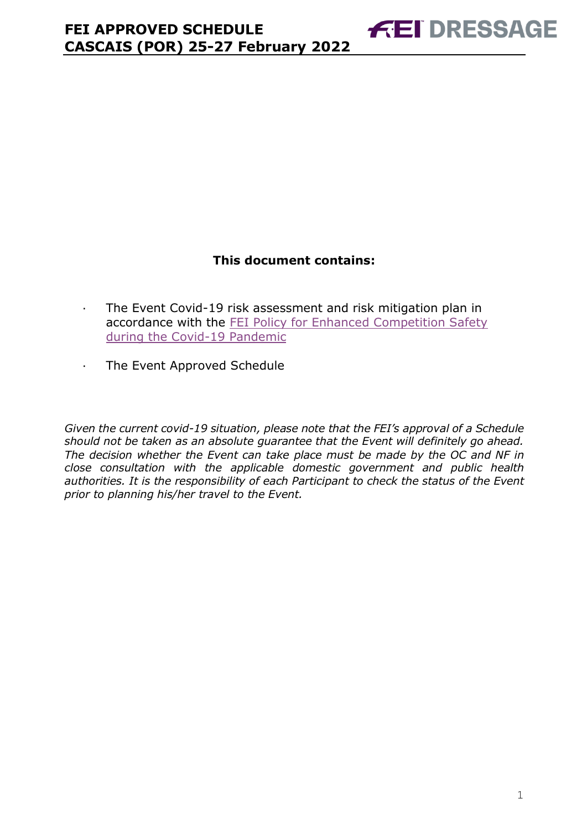# **This document contains:**

- <span id="page-0-0"></span>· The Event Covid-19 risk assessment and risk mitigation plan in accordance with the [FEI Policy for Enhanced Competition Safety](https://inside.fei.org/fei/covid-19/return-to-play)  [during the Covid-19 Pandemic](https://inside.fei.org/fei/covid-19/return-to-play)
- · The Event Approved Schedule

*Given the current covid-19 situation, please note that the FEI's approval of a Schedule should not be taken as an absolute guarantee that the Event will definitely go ahead. The decision whether the Event can take place must be made by the OC and NF in close consultation with the applicable domestic government and public health authorities. It is the responsibility of each Participant to check the status of the Event prior to planning his/her travel to the Event.*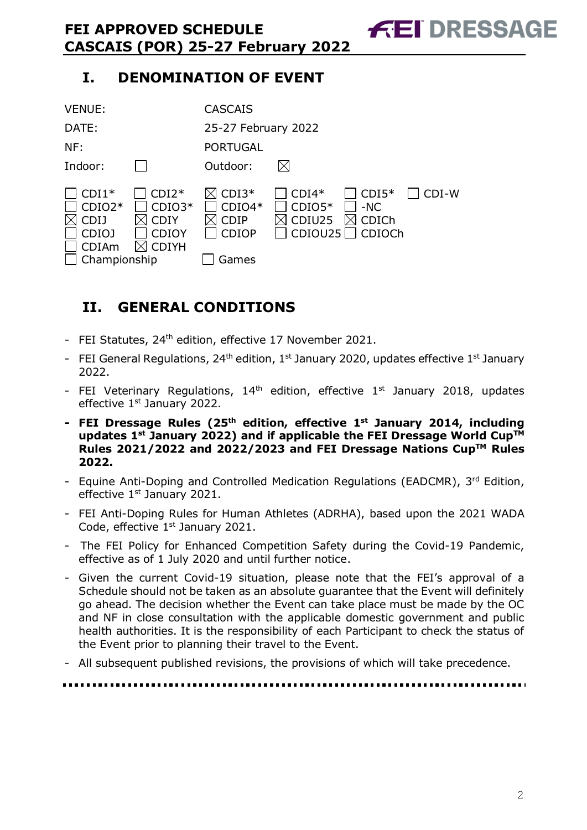# **I. DENOMINATION OF EVENT**

| <b>VENUE:</b>                                                                      |                                                                    | <b>CASCAIS</b>                                              |                                          |                                            |         |
|------------------------------------------------------------------------------------|--------------------------------------------------------------------|-------------------------------------------------------------|------------------------------------------|--------------------------------------------|---------|
| DATE:                                                                              |                                                                    | 25-27 February 2022                                         |                                          |                                            |         |
| NF:                                                                                |                                                                    | <b>PORTUGAL</b>                                             |                                          |                                            |         |
| Indoor:                                                                            |                                                                    | Outdoor:                                                    | $\boxtimes$                              |                                            |         |
| $CDI1*$<br>$CDIO2*$<br><b>CDIJ</b><br><b>CDIOJ</b><br><b>CDIAm</b><br>Championship | $CDI2*$<br>$CDIO3*$<br><b>CDIY</b><br><b>CDIOY</b><br><b>CDIYH</b> | $CDI3*$<br>$CDIO4*$<br><b>CDIP</b><br><b>CDIOP</b><br>Games | $CDI4*$<br>$CDIO5*$<br>CDIU25<br>CDIOU25 | $CDI5*$<br>$-NC$<br><b>CDICh</b><br>CDIOCh | $CDI-W$ |

# <span id="page-1-0"></span>**II. GENERAL CONDITIONS**

- FEI Statutes, 24<sup>th</sup> edition, effective 17 November 2021.
- FEI General Regulations, 24<sup>th</sup> edition, 1<sup>st</sup> January 2020, updates effective 1<sup>st</sup> January 2022.
- FEI Veterinary Regulations,  $14<sup>th</sup>$  edition, effective  $1<sup>st</sup>$  January 2018, updates effective 1<sup>st</sup> January 2022.
- **- FEI Dressage Rules (25 th edition, effective 1st January 2014, including updates 1 st January 2022) and if applicable the FEI Dressage World CupTM Rules 2021/2022 and 2022/2023 and FEI Dressage Nations CupTM Rules 2022.**
- Equine Anti-Doping and Controlled Medication Regulations (EADCMR), 3rd Edition, effective 1<sup>st</sup> January 2021.
- FEI Anti-Doping Rules for Human Athletes (ADRHA), based upon the 2021 WADA Code, effective  $1<sup>st</sup>$  January 2021.
- The FEI Policy for Enhanced Competition Safety during the Covid-19 Pandemic, effective as of 1 July 2020 and until further notice.
- Given the current Covid-19 situation, please note that the FEI's approval of a Schedule should not be taken as an absolute guarantee that the Event will definitely go ahead. The decision whether the Event can take place must be made by the OC and NF in close consultation with the applicable domestic government and public health authorities. It is the responsibility of each Participant to check the status of the Event prior to planning their travel to the Event.
- All subsequent published revisions, the provisions of which will take precedence.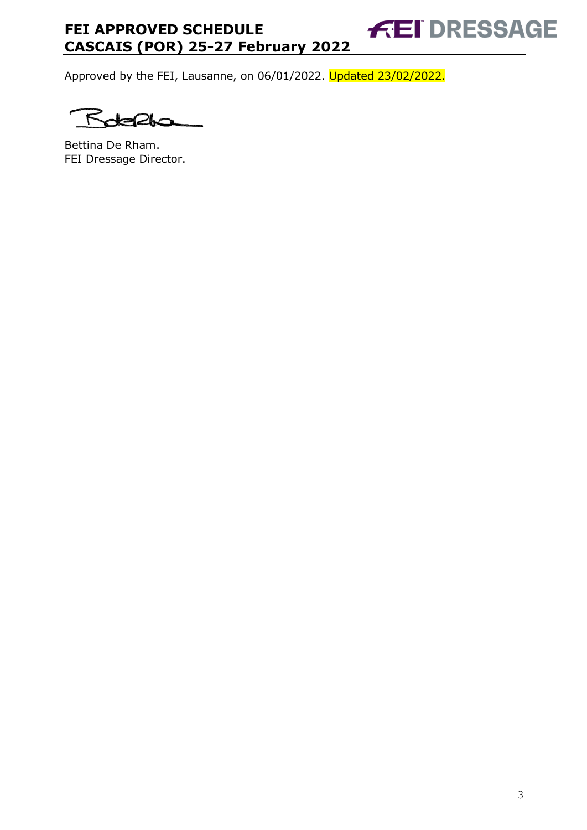Approved by the FEI, Lausanne, on 06/01/2022. Updated 23/02/2022.

۴

Bettina De Rham. FEI Dressage Director. **FEI DRESSAGE**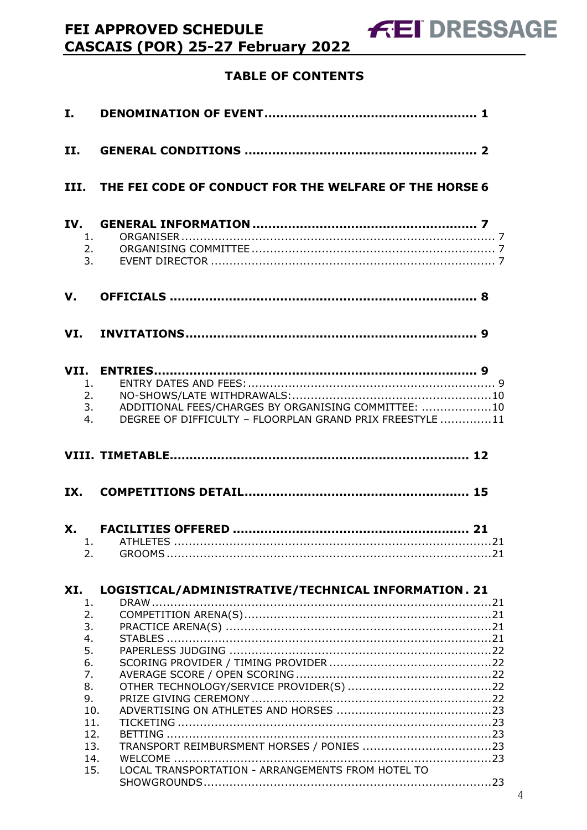# **TABLE OF CONTENTS**

| I.  |                                                                                |                                                                                                                 |  |
|-----|--------------------------------------------------------------------------------|-----------------------------------------------------------------------------------------------------------------|--|
| II. |                                                                                |                                                                                                                 |  |
|     |                                                                                | III. THE FEI CODE OF CONDUCT FOR THE WELFARE OF THE HORSE 6                                                     |  |
| IV. | 1.<br>2.<br>3.                                                                 |                                                                                                                 |  |
| V.  |                                                                                |                                                                                                                 |  |
|     |                                                                                |                                                                                                                 |  |
|     | 1 <sup>1</sup><br>2.<br>3.<br>4.                                               | ADDITIONAL FEES/CHARGES BY ORGANISING COMMITTEE: 10<br>DEGREE OF DIFFICULTY - FLOORPLAN GRAND PRIX FREESTYLE 11 |  |
|     |                                                                                |                                                                                                                 |  |
| IX. |                                                                                |                                                                                                                 |  |
|     | 2.                                                                             | 1 ATHI FTFS                                                                                                     |  |
| XI. |                                                                                | LOGISTICAL/ADMINISTRATIVE/TECHNICAL INFORMATION. 21                                                             |  |
|     | 1.<br>2.<br>3.<br>4.<br>5.<br>6.<br>7.<br>8.<br>9.<br>10.<br>11.<br>12.<br>13. |                                                                                                                 |  |
|     | 14.<br>15.                                                                     | LOCAL TRANSPORTATION - ARRANGEMENTS FROM HOTEL TO                                                               |  |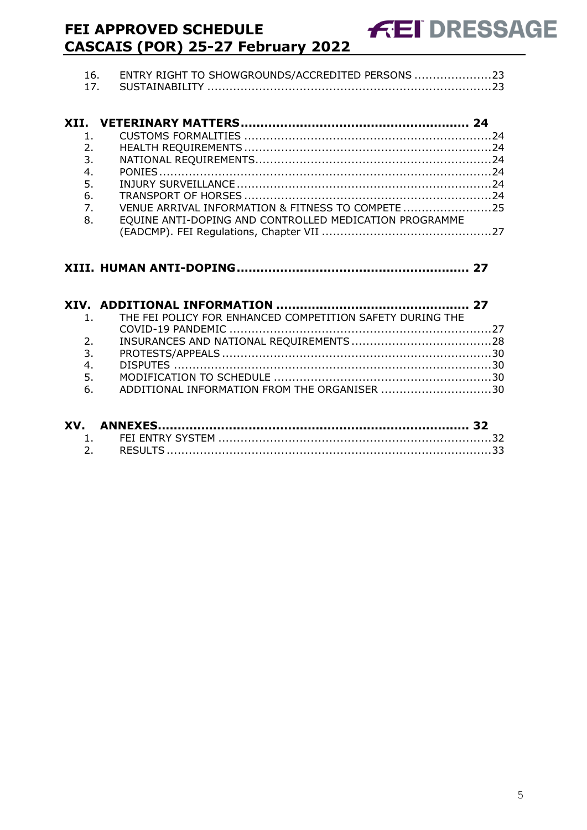| 16. ENTRY RIGHT TO SHOWGROUNDS/ACCREDITED PERSONS 23 |  |
|------------------------------------------------------|--|
|                                                      |  |

| $1_{-}$                                                               |  |
|-----------------------------------------------------------------------|--|
| 2.                                                                    |  |
| 3.                                                                    |  |
| 4.                                                                    |  |
|                                                                       |  |
|                                                                       |  |
| VENUE ARRIVAL INFORMATION & FITNESS TO COMPETE 25<br>$\overline{7}$ . |  |
| EQUINE ANTI-DOPING AND CONTROLLED MEDICATION PROGRAMME                |  |
|                                                                       |  |
|                                                                       |  |

|                | 1. THE FEI POLICY FOR ENHANCED COMPETITION SAFETY DURING THE |  |
|----------------|--------------------------------------------------------------|--|
|                |                                                              |  |
| 2 <sup>1</sup> |                                                              |  |
| 3.             |                                                              |  |
| 4.             |                                                              |  |
| 5.             |                                                              |  |
| 6.             | ADDITIONAL INFORMATION FROM THE ORGANISER 30                 |  |
|                |                                                              |  |

| XV. |  |
|-----|--|
|     |  |
|     |  |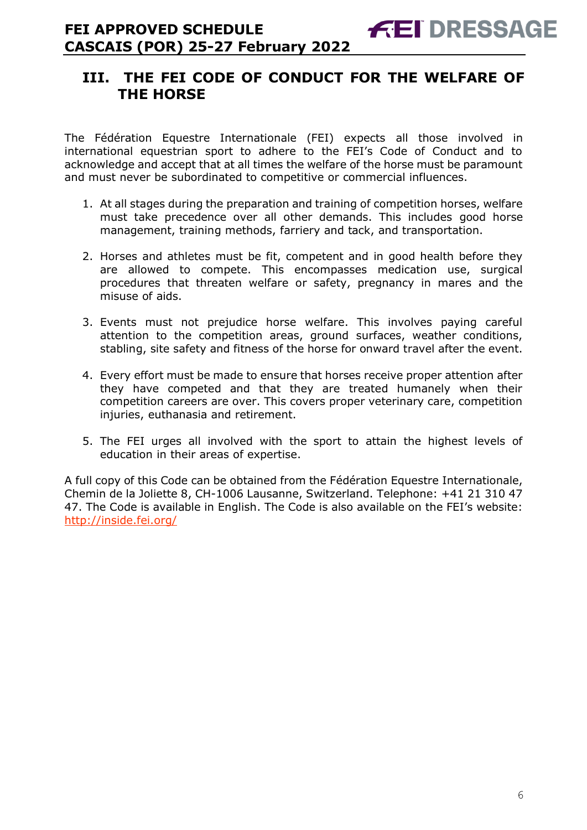# <span id="page-5-0"></span>**III. THE FEI CODE OF CONDUCT FOR THE WELFARE OF THE HORSE**

The Fédération Equestre Internationale (FEI) expects all those involved in international equestrian sport to adhere to the FEI's Code of Conduct and to acknowledge and accept that at all times the welfare of the horse must be paramount and must never be subordinated to competitive or commercial influences.

- 1. At all stages during the preparation and training of competition horses, welfare must take precedence over all other demands. This includes good horse management, training methods, farriery and tack, and transportation.
- 2. Horses and athletes must be fit, competent and in good health before they are allowed to compete. This encompasses medication use, surgical procedures that threaten welfare or safety, pregnancy in mares and the misuse of aids.
- 3. Events must not prejudice horse welfare. This involves paying careful attention to the competition areas, ground surfaces, weather conditions, stabling, site safety and fitness of the horse for onward travel after the event.
- 4. Every effort must be made to ensure that horses receive proper attention after they have competed and that they are treated humanely when their competition careers are over. This covers proper veterinary care, competition injuries, euthanasia and retirement.
- 5. The FEI urges all involved with the sport to attain the highest levels of education in their areas of expertise.

A full copy of this Code can be obtained from the Fédération Equestre Internationale, Chemin de la Joliette 8, CH-1006 Lausanne, Switzerland. Telephone: +41 21 310 47 47. The Code is available in English. The Code is also available on the FEI's website: <http://inside.fei.org/>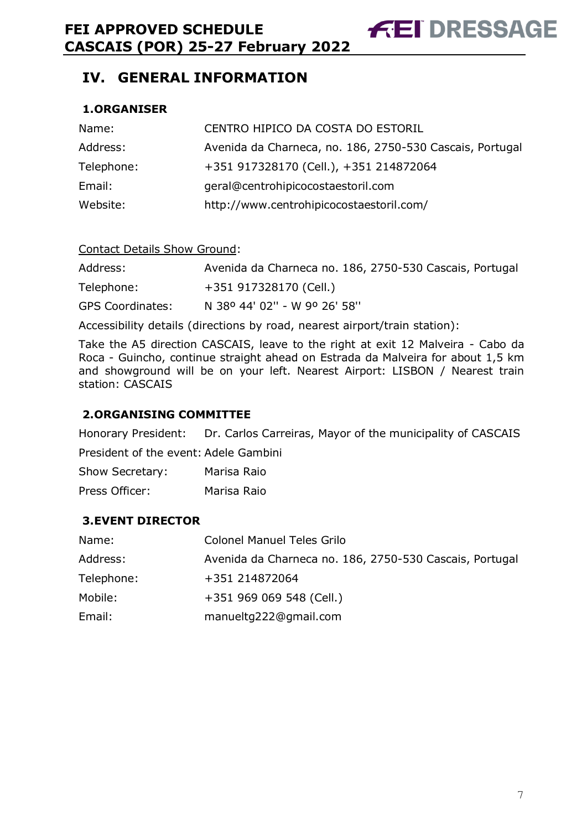# <span id="page-6-0"></span>**IV. GENERAL INFORMATION**

### <span id="page-6-1"></span>**1.ORGANISER**

| Name:      | CENTRO HIPICO DA COSTA DO ESTORIL                        |
|------------|----------------------------------------------------------|
| Address:   | Avenida da Charneca, no. 186, 2750-530 Cascais, Portugal |
| Telephone: | +351 917328170 (Cell.), +351 214872064                   |
| Email:     | geral@centrohipicocostaestoril.com                       |
| Website:   | http://www.centrohipicocostaestoril.com/                 |

#### Contact Details Show Ground:

| Address:                | Avenida da Charneca no. 186, 2750-530 Cascais, Portugal |
|-------------------------|---------------------------------------------------------|
| Telephone:              | +351 917328170 (Cell.)                                  |
| <b>GPS Coordinates:</b> | N 38º 44' 02" - W 9º 26' 58"                            |

Accessibility details (directions by road, nearest airport/train station):

Take the A5 direction CASCAIS, leave to the right at exit 12 Malveira - Cabo da Roca - Guincho, continue straight ahead on Estrada da Malveira for about 1,5 km and showground will be on your left. Nearest Airport: LISBON / Nearest train station: CASCAIS

#### <span id="page-6-2"></span>**2.ORGANISING COMMITTEE**

Honorary President: Dr. Carlos Carreiras, Mayor of the municipality of CASCAIS President of the event: Adele Gambini

Show Secretary: Marisa Raio Press Officer: Marisa Raio

#### <span id="page-6-3"></span>**3.EVENT DIRECTOR**

| Name:      | <b>Colonel Manuel Teles Grilo</b>                       |
|------------|---------------------------------------------------------|
| Address:   | Avenida da Charneca no. 186, 2750-530 Cascais, Portugal |
| Telephone: | +351 214872064                                          |
| Mobile:    | +351 969 069 548 (Cell.)                                |
| Email:     | manueltg222@gmail.com                                   |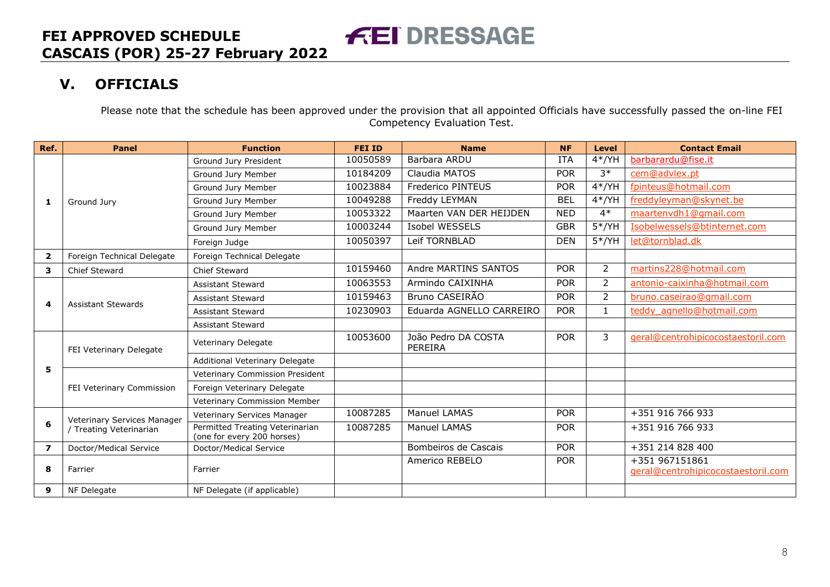# **V. OFFICIALS**

Please note that the schedule has been approved under the provision that all appointed Officials have successfully passed the on-line FEI Competency Evaluation Test.

<span id="page-7-0"></span>

| Ref.                    | <b>Panel</b>                | <b>Function</b>                                               | <b>FEI ID</b> | <b>Name</b>                           | <b>NF</b>  | <b>Level</b>   | <b>Contact Email</b>                                 |
|-------------------------|-----------------------------|---------------------------------------------------------------|---------------|---------------------------------------|------------|----------------|------------------------------------------------------|
|                         |                             | Ground Jury President                                         | 10050589      | Barbara ARDU                          | <b>ITA</b> | $4*/YH$        | barbarardu@fise.it                                   |
|                         |                             | Ground Jury Member                                            | 10184209      | Claudia MATOS                         | <b>POR</b> | $3*$           | cem@advlex.pt                                        |
|                         |                             | Ground Jury Member                                            | 10023884      | Frederico PINTEUS                     | <b>POR</b> | $4*/YH$        | fpinteus@hotmail.com                                 |
| 1                       | Ground Jury                 | Ground Jury Member                                            | 10049288      | Freddy LEYMAN                         | <b>BEL</b> | $4*/YH$        | freddyleyman@skynet.be                               |
|                         |                             | Ground Jury Member                                            | 10053322      | Maarten VAN DER HEIJDEN               | <b>NED</b> | $4*$           | maartenvdh1@gmail.com                                |
|                         |                             | Ground Jury Member                                            | 10003244      | Isobel WESSELS                        | <b>GBR</b> | $5*/YH$        | Isobelwessels@btinternet.com                         |
|                         |                             | Foreign Judge                                                 | 10050397      | Leif TORNBLAD                         | <b>DEN</b> | $5*/YH$        | let@tornblad.dk                                      |
| $\mathbf{2}$            | Foreign Technical Delegate  | Foreign Technical Delegate                                    |               |                                       |            |                |                                                      |
| 3                       | Chief Steward               | Chief Steward                                                 | 10159460      | Andre MARTINS SANTOS                  | <b>POR</b> | $\overline{2}$ | martins228@hotmail.com                               |
|                         |                             | <b>Assistant Steward</b>                                      | 10063553      | Armindo CAIXINHA                      | <b>POR</b> | $\overline{2}$ | antonio-caixinha@hotmail.com                         |
|                         |                             | <b>Assistant Steward</b>                                      | 10159463      | Bruno CASEIRÃO                        | <b>POR</b> | $\overline{2}$ | bruno.caseirao@gmail.com                             |
| 4                       | <b>Assistant Stewards</b>   | <b>Assistant Steward</b>                                      | 10230903      | Eduarda AGNELLO CARREIRO              | <b>POR</b> | $\mathbf{1}$   | teddy agnello@hotmail.com                            |
|                         |                             | <b>Assistant Steward</b>                                      |               |                                       |            |                |                                                      |
|                         | FEI Veterinary Delegate     | Veterinary Delegate                                           | 10053600      | João Pedro DA COSTA<br><b>PEREIRA</b> | <b>POR</b> | 3              | geral@centrohipicocostaestoril.com                   |
|                         |                             | Additional Veterinary Delegate                                |               |                                       |            |                |                                                      |
| 5                       |                             | Veterinary Commission President                               |               |                                       |            |                |                                                      |
|                         | FEI Veterinary Commission   | Foreign Veterinary Delegate                                   |               |                                       |            |                |                                                      |
|                         |                             | Veterinary Commission Member                                  |               |                                       |            |                |                                                      |
|                         | Veterinary Services Manager | Veterinary Services Manager                                   | 10087285      | Manuel LAMAS                          | <b>POR</b> |                | +351 916 766 933                                     |
| 6                       | / Treating Veterinarian     | Permitted Treating Veterinarian<br>(one for every 200 horses) | 10087285      | Manuel LAMAS                          | <b>POR</b> |                | +351 916 766 933                                     |
| $\overline{\mathbf{z}}$ | Doctor/Medical Service      | Doctor/Medical Service                                        |               | Bombeiros de Cascais                  | <b>POR</b> |                | +351 214 828 400                                     |
| 8                       | Farrier                     | Farrier                                                       |               | Americo REBELO                        | <b>POR</b> |                | +351 967151861<br>geral@centrohipicocostaestoril.com |
| 9                       | NF Delegate                 | NF Delegate (if applicable)                                   |               |                                       |            |                |                                                      |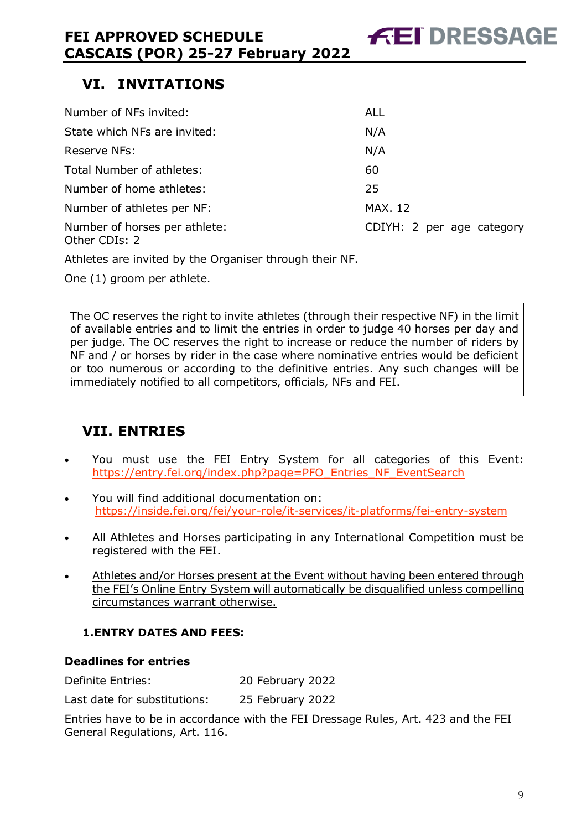# <span id="page-8-0"></span>**VI. INVITATIONS**

| Number of NFs invited:                         | ALL                       |
|------------------------------------------------|---------------------------|
| State which NFs are invited:                   | N/A                       |
| Reserve NFs:                                   | N/A                       |
| Total Number of athletes:                      | 60                        |
| Number of home athletes:                       | 25                        |
| Number of athletes per NF:                     | <b>MAX. 12</b>            |
| Number of horses per athlete:<br>Other CDIs: 2 | CDIYH: 2 per age category |

Athletes are invited by the Organiser through their NF.

One (1) groom per athlete.

The OC reserves the right to invite athletes (through their respective NF) in the limit of available entries and to limit the entries in order to judge 40 horses per day and per judge. The OC reserves the right to increase or reduce the number of riders by NF and / or horses by rider in the case where nominative entries would be deficient or too numerous or according to the definitive entries. Any such changes will be immediately notified to all competitors, officials, NFs and FEI.

# <span id="page-8-1"></span>**VII. ENTRIES**

- You must use the FEI Entry System for all categories of this Event: [https://entry.fei.org/index.php?page=PFO\\_Entries\\_NF\\_EventSearch](https://entry.fei.org/index.php?page=PFO_Entries_NF_EventSearch)
- You will find additional documentation on: <https://inside.fei.org/fei/your-role/it-services/it-platforms/fei-entry-system>
- All Athletes and Horses participating in any International Competition must be registered with the FEI.
- Athletes and/or Horses present at the Event without having been entered through the FEI's Online Entry System will automatically be disqualified unless compelling circumstances warrant otherwise.

# <span id="page-8-2"></span>**1.ENTRY DATES AND FEES:**

### **Deadlines for entries**

| Definite Entries: | 20 February 2022 |
|-------------------|------------------|
|                   |                  |

Last date for substitutions: 25 February 2022

Entries have to be in accordance with the FEI Dressage Rules, Art. 423 and the FEI General Regulations, Art. 116.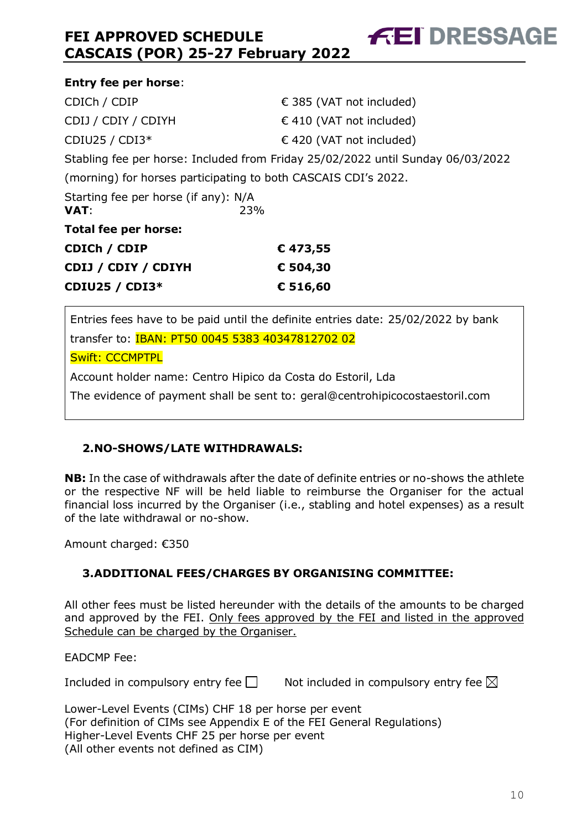| <b>Entry fee per horse:</b>                                    |                                                                                 |
|----------------------------------------------------------------|---------------------------------------------------------------------------------|
| CDICh / CDIP                                                   | € 385 (VAT not included)                                                        |
| CDIJ / CDIY / CDIYH                                            | $\in$ 410 (VAT not included)                                                    |
| CDIU25 / CDI3*                                                 | $\in$ 420 (VAT not included)                                                    |
|                                                                | Stabling fee per horse: Included from Friday 25/02/2022 until Sunday 06/03/2022 |
| (morning) for horses participating to both CASCAIS CDI's 2022. |                                                                                 |
| Starting fee per horse (if any): N/A<br>VAT:<br>23%            |                                                                                 |
| Total fee per horse:                                           |                                                                                 |
| CDICh / CDIP                                                   | €473,55                                                                         |
| CDIJ / CDIY / CDIYH                                            | € 504,30                                                                        |
| <b>CDIU25 / CDI3*</b>                                          | € 516,60                                                                        |

**FEI DRESSAGE** 

Entries fees have to be paid until the definite entries date: 25/02/2022 by bank transfer to: IBAN: PT50 0045 5383 40347812702 02 Swift: CCCMPTPL Account holder name: Centro Hipico da Costa do Estoril, Lda

The evidence of payment shall be sent to: geral@centrohipicocostaestoril.com

# <span id="page-9-0"></span>**2.NO-SHOWS/LATE WITHDRAWALS:**

**NB:** In the case of withdrawals after the date of definite entries or no-shows the athlete or the respective NF will be held liable to reimburse the Organiser for the actual financial loss incurred by the Organiser (i.e., stabling and hotel expenses) as a result of the late withdrawal or no-show.

Amount charged: €350

# <span id="page-9-1"></span>**3.ADDITIONAL FEES/CHARGES BY ORGANISING COMMITTEE:**

All other fees must be listed hereunder with the details of the amounts to be charged and approved by the FEI. Only fees approved by the FEI and listed in the approved Schedule can be charged by the Organiser.

EADCMP Fee:

Included in compulsory entry fee  $\square$  Not included in compulsory entry fee  $\square$ 

Lower-Level Events (CIMs) CHF 18 per horse per event (For definition of CIMs see Appendix E of the FEI General Regulations) Higher-Level Events CHF 25 per horse per event (All other events not defined as CIM)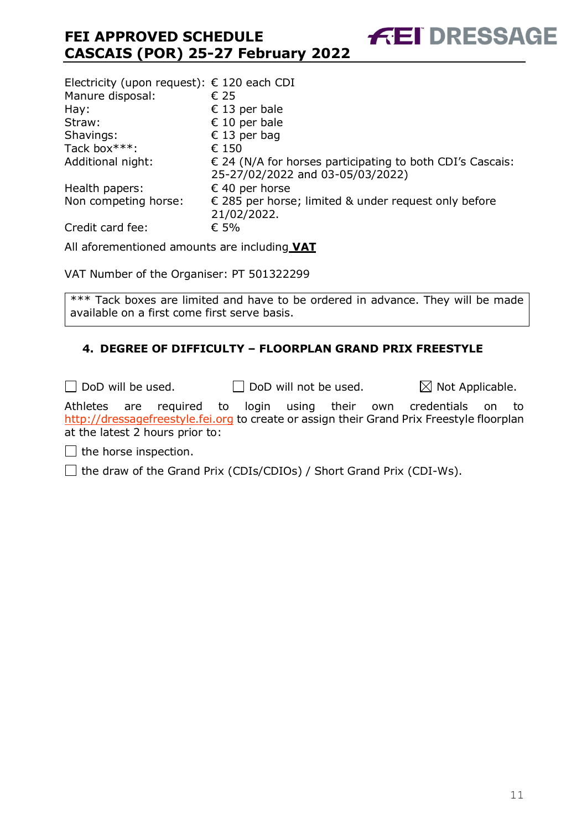| Electricity (upon request): $\epsilon$ 120 each CDI |                                                                                                        |
|-----------------------------------------------------|--------------------------------------------------------------------------------------------------------|
| Manure disposal:                                    | € 25                                                                                                   |
| Hay:                                                | € 13 per bale                                                                                          |
| Straw:                                              | € 10 per bale                                                                                          |
| Shavings:                                           | € 13 per bag                                                                                           |
| Tack box***:                                        | € 150                                                                                                  |
| Additional night:                                   | $\epsilon$ 24 (N/A for horses participating to both CDI's Cascais:<br>25-27/02/2022 and 03-05/03/2022) |
| Health papers:                                      | € 40 per horse                                                                                         |
| Non competing horse:                                | € 285 per horse; limited & under request only before<br>21/02/2022.                                    |
| Credit card fee:                                    | € 5%                                                                                                   |

All aforementioned amounts are including **VAT**

VAT Number of the Organiser: PT 501322299

\*\*\* Tack boxes are limited and have to be ordered in advance. They will be made available on a first come first serve basis.

### <span id="page-10-0"></span>**4. DEGREE OF DIFFICULTY – FLOORPLAN GRAND PRIX FREESTYLE**

 $\Box$  DoD will be used.  $\Box$  DoD will not be used.  $\boxtimes$  Not Applicable. Athletes are required to login using their own credentials on to [http://dressagefreestyle.fei.org](http://dressagefreestyle.fei.org/) to create or assign their Grand Prix Freestyle floorplan at the latest 2 hours prior to:

 $\Box$  the horse inspection.

 $\Box$  the draw of the Grand Prix (CDIs/CDIOs) / Short Grand Prix (CDI-Ws).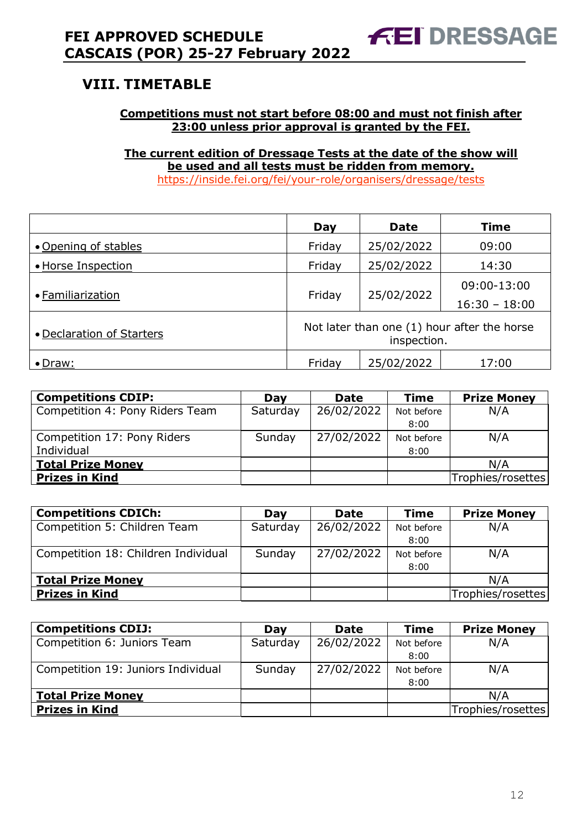# <span id="page-11-0"></span>**VIII. TIMETABLE**

### **Competitions must not start before 08:00 and must not finish after 23:00 unless prior approval is granted by the FEI.**

**The current edition of Dressage Tests at the date of the show will be used and all tests must be ridden from memory.** <https://inside.fei.org/fei/your-role/organisers/dressage/tests>

|                           | Day                                                        | <b>Date</b> | <b>Time</b>     |  |  |
|---------------------------|------------------------------------------------------------|-------------|-----------------|--|--|
| • Opening of stables      | Friday                                                     | 25/02/2022  | 09:00           |  |  |
| • Horse Inspection        | Friday                                                     | 25/02/2022  | 14:30           |  |  |
| • Familiarization         |                                                            |             | 09:00-13:00     |  |  |
|                           | 25/02/2022<br>Friday                                       |             | $16:30 - 18:00$ |  |  |
| • Declaration of Starters | Not later than one (1) hour after the horse<br>inspection. |             |                 |  |  |
| $\bullet$ Draw:           | Friday                                                     | 25/02/2022  | 17:00           |  |  |

| <b>Competitions CDIP:</b>       | Dav      | <b>Date</b> | <b>Time</b> | <b>Prize Money</b> |
|---------------------------------|----------|-------------|-------------|--------------------|
| Competition 4: Pony Riders Team | Saturday | 26/02/2022  | Not before  | N/A                |
|                                 |          |             | 8:00        |                    |
| Competition 17: Pony Riders     | Sunday   | 27/02/2022  | Not before  | N/A                |
| Individual                      |          |             | 8:00        |                    |
| <b>Total Prize Money</b>        |          |             |             | N/A                |
| <b>Prizes in Kind</b>           |          |             |             | Trophies/rosettes  |

| <b>Competitions CDICh:</b>          | Dav      | <b>Date</b> | <b>Time</b> | <b>Prize Money</b> |
|-------------------------------------|----------|-------------|-------------|--------------------|
| Competition 5: Children Team        | Saturday | 26/02/2022  | Not before  | N/A                |
|                                     |          |             | 8:00        |                    |
| Competition 18: Children Individual | Sunday   | 27/02/2022  | Not before  | N/A                |
|                                     |          |             | 8:00        |                    |
| <b>Total Prize Money</b>            |          |             |             | N/A                |
| <b>Prizes in Kind</b>               |          |             |             | Trophies/rosettes  |

| <b>Competitions CDIJ:</b>          | Dav      | <b>Date</b> | <b>Time</b> | <b>Prize Money</b> |
|------------------------------------|----------|-------------|-------------|--------------------|
| Competition 6: Juniors Team        | Saturday | 26/02/2022  | Not before  | N/A                |
|                                    |          |             | 8:00        |                    |
| Competition 19: Juniors Individual | Sunday   | 27/02/2022  | Not before  | N/A                |
|                                    |          |             | 8:00        |                    |
| <b>Total Prize Money</b>           |          |             |             | N/A                |
| <b>Prizes in Kind</b>              |          |             |             | Trophies/rosettes  |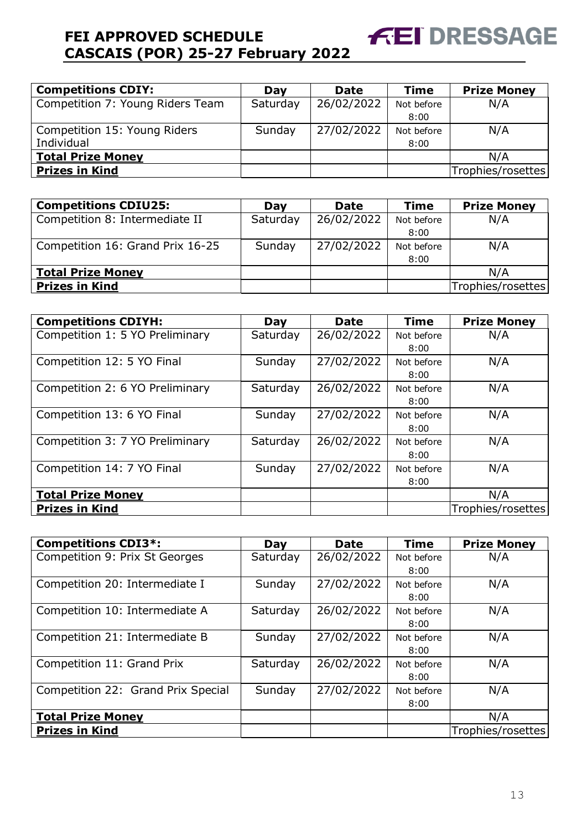| <b>Competitions CDIY:</b>        | Day      | <b>Date</b> | <b>Time</b> | <b>Prize Money</b> |
|----------------------------------|----------|-------------|-------------|--------------------|
| Competition 7: Young Riders Team | Saturday | 26/02/2022  | Not before  | N/A                |
|                                  |          |             | 8:00        |                    |
| Competition 15: Young Riders     | Sunday   | 27/02/2022  | Not before  | N/A                |
| Individual                       |          |             | 8:00        |                    |
| <b>Total Prize Money</b>         |          |             |             | N/A                |
| <b>Prizes in Kind</b>            |          |             |             | Trophies/rosettes  |

**FEI DRESSAGE** 

| <b>Competitions CDIU25:</b>      | Dav      | <b>Date</b> | <b>Time</b> | <b>Prize Money</b> |
|----------------------------------|----------|-------------|-------------|--------------------|
| Competition 8: Intermediate II   | Saturday | 26/02/2022  | Not before  | N/A                |
|                                  |          |             | 8:00        |                    |
| Competition 16: Grand Prix 16-25 | Sunday   | 27/02/2022  | Not before  | N/A                |
|                                  |          |             | 8:00        |                    |
| <b>Total Prize Money</b>         |          |             |             | N/A                |
| <b>Prizes in Kind</b>            |          |             |             | Trophies/rosettes  |

| <b>Competitions CDIYH:</b>      | Day      | <b>Date</b> | <b>Time</b> | <b>Prize Money</b> |
|---------------------------------|----------|-------------|-------------|--------------------|
| Competition 1: 5 YO Preliminary | Saturday | 26/02/2022  | Not before  | N/A                |
|                                 |          |             | 8:00        |                    |
| Competition 12: 5 YO Final      | Sunday   | 27/02/2022  | Not before  | N/A                |
|                                 |          |             | 8:00        |                    |
| Competition 2: 6 YO Preliminary | Saturday | 26/02/2022  | Not before  | N/A                |
|                                 |          |             | 8:00        |                    |
| Competition 13: 6 YO Final      | Sunday   | 27/02/2022  | Not before  | N/A                |
|                                 |          |             | 8:00        |                    |
| Competition 3: 7 YO Preliminary | Saturday | 26/02/2022  | Not before  | N/A                |
|                                 |          |             | 8:00        |                    |
| Competition 14: 7 YO Final      | Sunday   | 27/02/2022  | Not before  | N/A                |
|                                 |          |             | 8:00        |                    |
| <b>Total Prize Money</b>        |          |             |             | N/A                |
| <b>Prizes in Kind</b>           |          |             |             | Trophies/rosettes  |

| <b>Competitions CDI3*:</b>         | Day      | <b>Date</b> | <b>Time</b> | <b>Prize Money</b> |
|------------------------------------|----------|-------------|-------------|--------------------|
| Competition 9: Prix St Georges     | Saturday | 26/02/2022  | Not before  | N/A                |
|                                    |          |             | 8:00        |                    |
| Competition 20: Intermediate I     | Sunday   | 27/02/2022  | Not before  | N/A                |
|                                    |          |             | 8:00        |                    |
| Competition 10: Intermediate A     | Saturday | 26/02/2022  | Not before  | N/A                |
|                                    |          |             | 8:00        |                    |
| Competition 21: Intermediate B     | Sunday   | 27/02/2022  | Not before  | N/A                |
|                                    |          |             | 8:00        |                    |
| Competition 11: Grand Prix         | Saturday | 26/02/2022  | Not before  | N/A                |
|                                    |          |             | 8:00        |                    |
| Competition 22: Grand Prix Special | Sunday   | 27/02/2022  | Not before  | N/A                |
|                                    |          |             | 8:00        |                    |
| <b>Total Prize Money</b>           |          |             |             | N/A                |
| <b>Prizes in Kind</b>              |          |             |             | Trophies/rosettes  |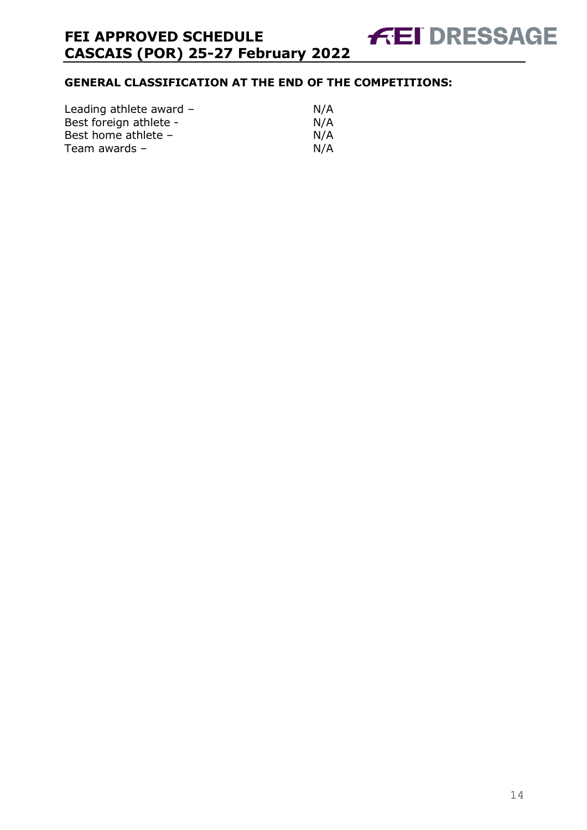# **GENERAL CLASSIFICATION AT THE END OF THE COMPETITIONS:**

| Leading athlete award - | N/A |
|-------------------------|-----|
| Best foreign athlete -  | N/A |
| Best home athlete -     | N/A |
| Team awards –           | N/A |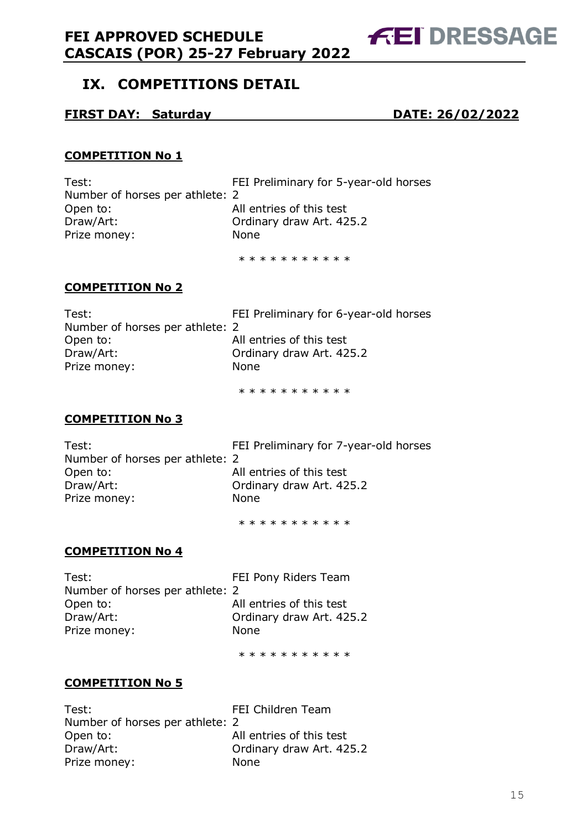# <span id="page-14-0"></span>**IX. COMPETITIONS DETAIL**

#### **FIRST DAY: Saturday DATE: 26/02/2022**

**FEI DRESSAGE** 

#### **COMPETITION No 1**

Test: FEI Preliminary for 5-year-old horses Number of horses per athlete: 2 Open to: All entries of this test Draw/Art: Ordinary draw Art. 425.2 Prize money: None

\* \* \* \* \* \* \* \* \* \* \*

#### **COMPETITION No 2**

| Test:                           | FEI Preliminary for 6-year-old horses |
|---------------------------------|---------------------------------------|
| Number of horses per athlete: 2 |                                       |
| Open to:                        | All entries of this test              |
| Draw/Art:                       | Ordinary draw Art. 425.2              |
| Prize money:                    | None.                                 |
|                                 |                                       |

\* \* \* \* \* \* \* \* \* \*

### **COMPETITION No 3**

| Test:                           | FEI Preliminary for 7-year-old horses |
|---------------------------------|---------------------------------------|
| Number of horses per athlete: 2 |                                       |
| Open to:                        | All entries of this test              |
| Draw/Art:                       | Ordinary draw Art. 425.2              |
| Prize money:                    | <b>None</b>                           |
|                                 |                                       |

\* \* \* \* \* \* \* \* \* \*

#### **COMPETITION No 4**

| Test:                           | FEI Pony Riders Team     |
|---------------------------------|--------------------------|
| Number of horses per athlete: 2 |                          |
| Open to:                        | All entries of this test |
| Draw/Art:                       | Ordinary draw Art. 425.2 |
| Prize money:                    | <b>None</b>              |
|                                 |                          |

\* \* \* \* \* \* \* \* \* \*

#### **COMPETITION No 5**

Test: FEI Children Team Number of horses per athlete: 2 Open to: and all entries of this test Draw/Art: Ordinary draw Art. 425.2 Prize money: None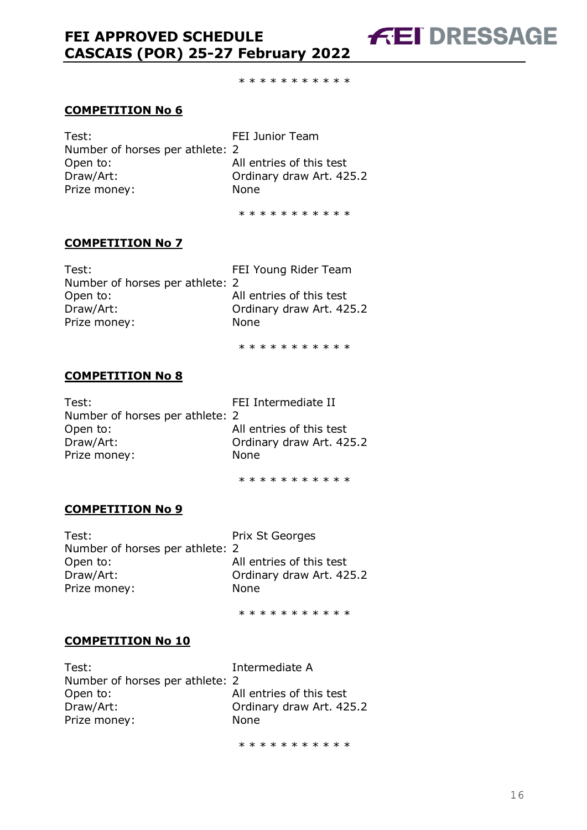\* \* \* \* \* \* \* \* \* \*

#### **COMPETITION No 6**

Test: FEI Junior Team Number of horses per athlete: 2 Open to: All entries of this test Draw/Art: Ordinary draw Art. 425.2 Prize money: None

\* \* \* \* \* \* \* \* \* \*

#### **COMPETITION No 7**

Test: FEI Young Rider Team Number of horses per athlete: 2 Open to: All entries of this test Draw/Art: Ordinary draw Art. 425.2 Prize money: None

\* \* \* \* \* \* \* \* \* \*

#### **COMPETITION No 8**

Test: Test: FEI Intermediate II Number of horses per athlete: 2 Open to: All entries of this test Draw/Art: **Draw/Art: Ordinary draw Art. 425.2** Prize money: None

\* \* \* \* \* \* \* \* \* \*

#### **COMPETITION No 9**

Test: Test: Prix St Georges Number of horses per athlete: 2 Open to: All entries of this test Draw/Art: Ordinary draw Art. 425.2 Prize money: None

\* \* \* \* \* \* \* \* \* \*

#### **COMPETITION No 10**

| Test:                           | Intermediate A           |
|---------------------------------|--------------------------|
| Number of horses per athlete: 2 |                          |
| Open to:                        | All entries of this test |
| Draw/Art:                       | Ordinary draw Art. 425.2 |
| Prize money:                    | <b>None</b>              |
|                                 |                          |

\* \* \* \* \* \* \* \* \* \*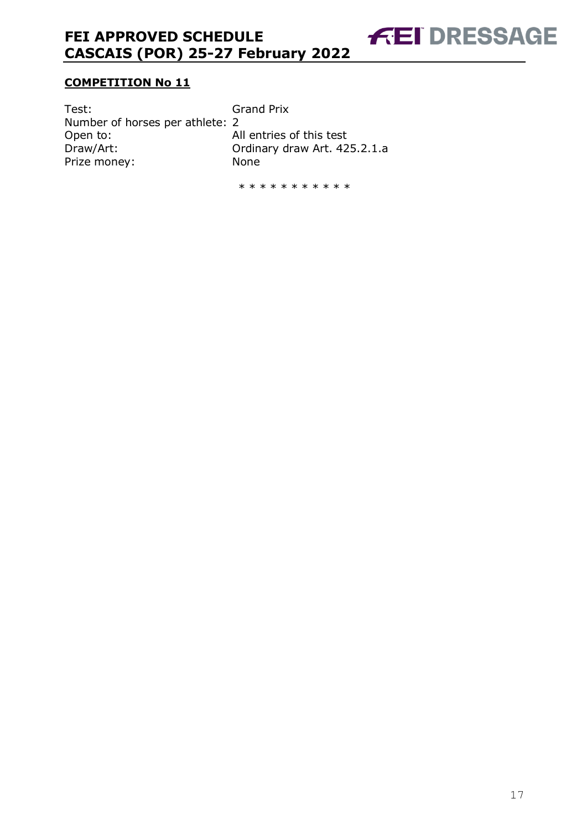### **COMPETITION No 11**

| Test:                           | <b>Grand Prix</b>            |
|---------------------------------|------------------------------|
| Number of horses per athlete: 2 |                              |
| Open to:                        | All entries of this test     |
| Draw/Art:                       | Ordinary draw Art. 425.2.1.a |
| Prize money:                    | <b>None</b>                  |

\* \* \* \* \* \* \* \* \* \*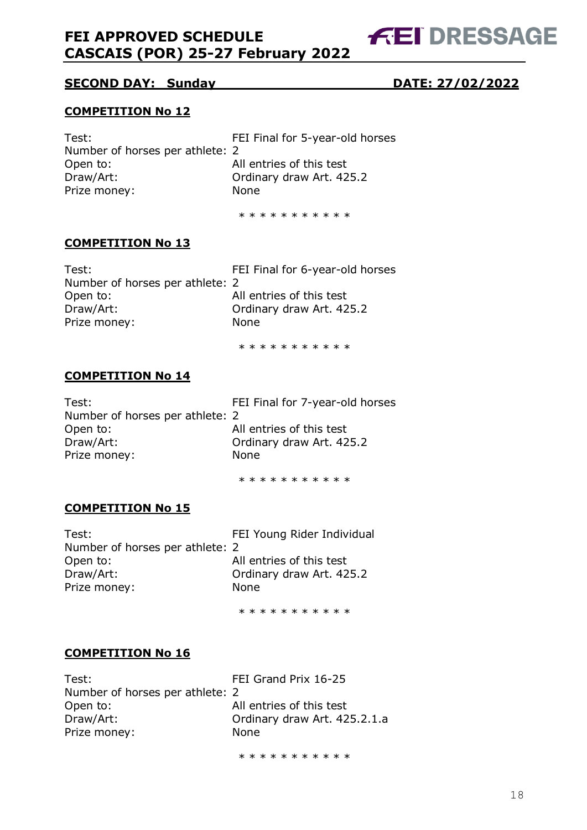### **SECOND DAY: Sunday DATE: 27/02/2022**

#### **COMPETITION No 12**

Test: FEI Final for 5-year-old horses Number of horses per athlete: 2 Open to: All entries of this test Draw/Art: **Draw/Art: Ordinary draw Art. 425.2** Prize money: None

\* \* \* \* \* \* \* \* \* \* \*

#### **COMPETITION No 13**

Test: FEI Final for 6-year-old horses Number of horses per athlete: 2 Open to: All entries of this test Draw/Art: Ordinary draw Art. 425.2 Prize money: None

\* \* \* \* \* \* \* \* \* \*

#### **COMPETITION No 14**

Test: FEI Final for 7-year-old horses Number of horses per athlete: 2 Open to: All entries of this test Draw/Art: Ordinary draw Art. 425.2 Prize money: None

\* \* \* \* \* \* \* \* \* \*

#### **COMPETITION No 15**

Test: FEI Young Rider Individual Number of horses per athlete: 2 Open to: All entries of this test Draw/Art: Ordinary draw Art. 425.2 Prize money: None

\* \* \* \* \* \* \* \* \* \*

#### **COMPETITION No 16**

Test: Test: FEI Grand Prix 16-25 Number of horses per athlete: 2 Open to: All entries of this test Draw/Art: Ordinary draw Art. 425.2.1.a Prize money: None

\* \* \* \* \* \* \* \* \* \* \*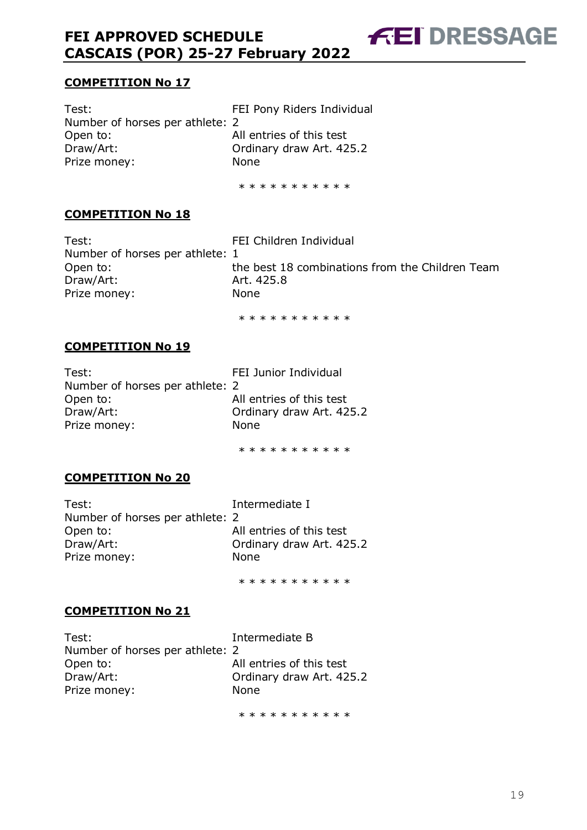#### **COMPETITION No 17**

Test: Test: FEI Pony Riders Individual Number of horses per athlete: 2 Open to: All entries of this test Draw/Art: Ordinary draw Art. 425.2 Prize money: None

\* \* \* \* \* \* \* \* \* \*

#### **COMPETITION No 18**

Test: Test: FEI Children Individual Number of horses per athlete: 1 Draw/Art: 25.8 Prize money: None

Open to: the best 18 combinations from the Children Team

**FEI DRESSAGE** 

\* \* \* \* \* \* \* \* \* \*

#### **COMPETITION No 19**

| Test:                           | FEI Junior Individual    |
|---------------------------------|--------------------------|
| Number of horses per athlete: 2 |                          |
| Open to:                        | All entries of this test |
| Draw/Art:                       | Ordinary draw Art. 425.2 |
| Prize money:                    | <b>None</b>              |
|                                 |                          |

\* \* \* \* \* \* \* \* \* \*

#### **COMPETITION No 20**

Test: Intermediate I Number of horses per athlete: 2 Open to: All entries of this test Draw/Art: Ordinary draw Art. 425.2 Prize money: None

\* \* \* \* \* \* \* \* \* \*

#### **COMPETITION No 21**

| Test:                           | Intermediate B           |
|---------------------------------|--------------------------|
| Number of horses per athlete: 2 |                          |
| Open to:                        | All entries of this test |
| Draw/Art:                       | Ordinary draw Art. 425.2 |
| Prize money:                    | <b>None</b>              |
|                                 |                          |

\* \* \* \* \* \* \* \* \* \*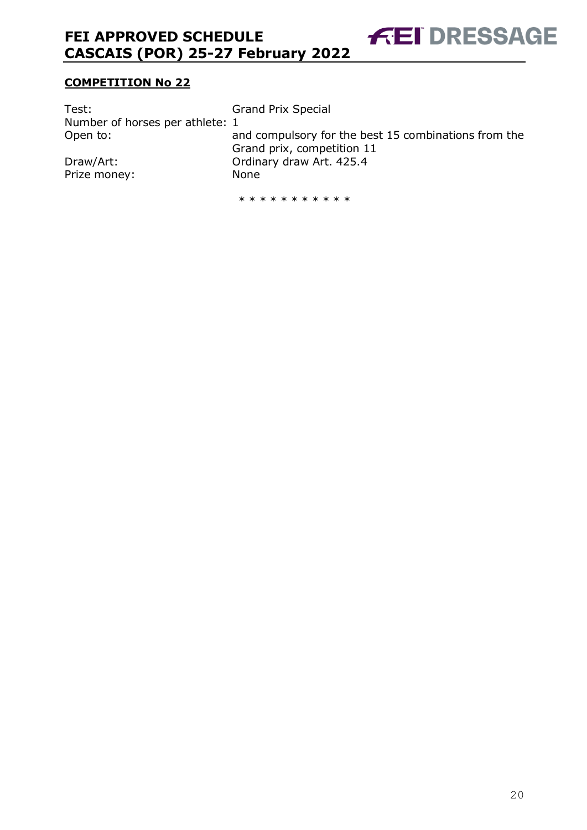**FEI DRESSAGE** 

### **COMPETITION No 22**

| Test:                           | <b>Grand Prix Special</b>                                                          |
|---------------------------------|------------------------------------------------------------------------------------|
| Number of horses per athlete: 1 |                                                                                    |
| Open to:                        | and compulsory for the best 15 combinations from the<br>Grand prix, competition 11 |
| Draw/Art:                       | Ordinary draw Art. 425.4                                                           |
| Prize money:                    | None                                                                               |

\* \* \* \* \* \* \* \* \* \*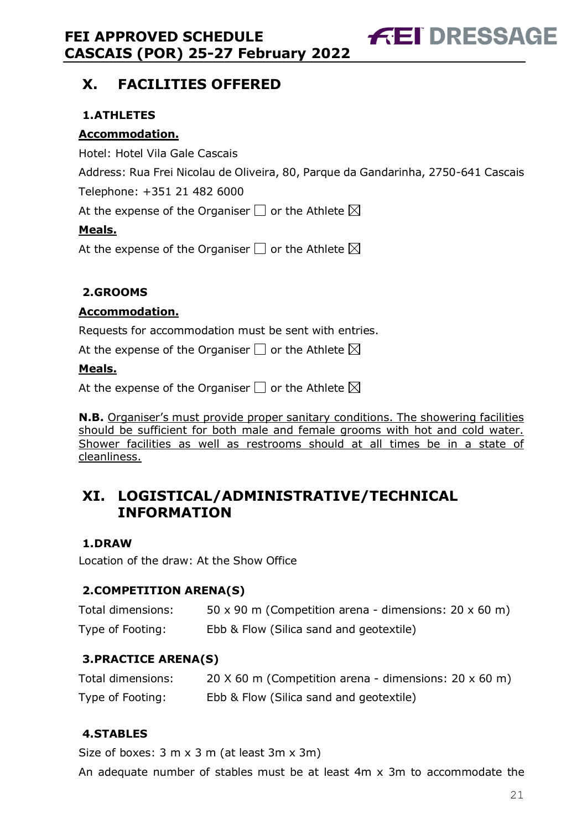# <span id="page-20-0"></span>**X. FACILITIES OFFERED**

# <span id="page-20-1"></span>**1.ATHLETES**

# **Accommodation.**

Hotel: Hotel Vila Gale Cascais

Address: Rua Frei Nicolau de Oliveira, 80, Parque da Gandarinha, 2750-641 Cascais

Telephone: +351 21 482 6000

At the expense of the Organiser  $\Box$  or the Athlete  $\boxtimes$ 

# **Meals.**

At the expense of the Organiser  $\Box$  or the Athlete  $\boxtimes$ 

# <span id="page-20-2"></span>**2.GROOMS**

# **Accommodation.**

Requests for accommodation must be sent with entries.

At the expense of the Organiser  $\square$  or the Athlete  $\boxtimes$ 

# **Meals.**

At the expense of the Organiser  $\Box$  or the Athlete  $\boxtimes$ 

**N.B.** Organiser's must provide proper sanitary conditions. The showering facilities should be sufficient for both male and female grooms with hot and cold water. Shower facilities as well as restrooms should at all times be in a state of cleanliness.

# <span id="page-20-3"></span>**XI. LOGISTICAL/ADMINISTRATIVE/TECHNICAL INFORMATION**

# <span id="page-20-4"></span>**1.DRAW**

Location of the draw: At the Show Office

# <span id="page-20-5"></span>**2.COMPETITION ARENA(S)**

| Total dimensions: | 50 x 90 m (Competition arena - dimensions: $20 \times 60$ m) |
|-------------------|--------------------------------------------------------------|
| Type of Footing:  | Ebb & Flow (Silica sand and geotextile)                      |

# <span id="page-20-6"></span>**3.PRACTICE ARENA(S)**

| Total dimensions: | 20 $\times$ 60 m (Competition arena - dimensions: 20 $\times$ 60 m) |
|-------------------|---------------------------------------------------------------------|
| Type of Footing:  | Ebb & Flow (Silica sand and geotextile)                             |

# <span id="page-20-7"></span>**4.STABLES**

Size of boxes: 3 m x 3 m (at least 3m x 3m)

An adequate number of stables must be at least 4m x 3m to accommodate the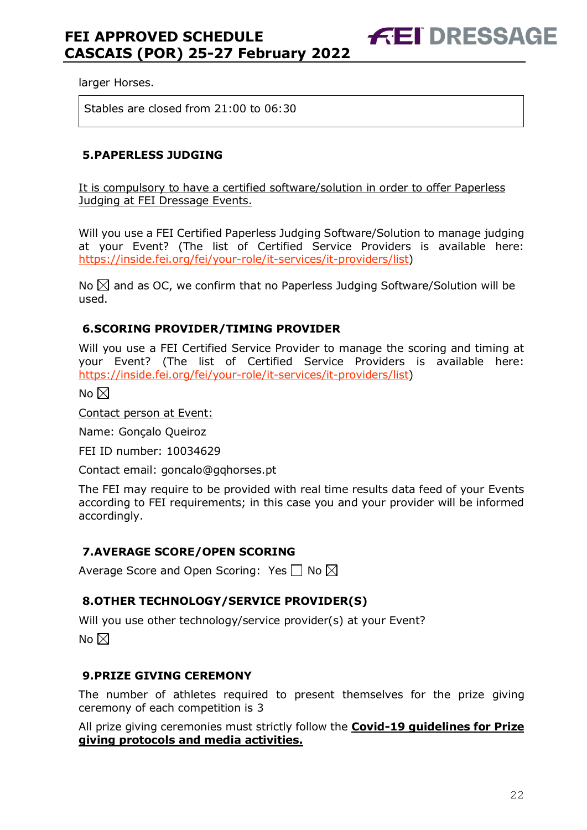larger Horses.

Stables are closed from 21:00 to 06:30

#### <span id="page-21-0"></span>**5.PAPERLESS JUDGING**

It is compulsory to have a certified software/solution in order to offer Paperless Judging at FEI Dressage Events.

Will you use a FEI Certified Paperless Judging Software/Solution to manage judging at your Event? (The list of Certified Service Providers is available here: [https://inside.fei.org/fei/your-role/it-services/it-providers/list\)](https://inside.fei.org/fei/your-role/it-services/it-providers/list)

No  $\boxtimes$  and as OC, we confirm that no Paperless Judging Software/Solution will be used.

#### <span id="page-21-1"></span>**6.SCORING PROVIDER/TIMING PROVIDER**

Will you use a FEI Certified Service Provider to manage the scoring and timing at your Event? (The list of Certified Service Providers is available here: [https://inside.fei.org/fei/your-role/it-services/it-providers/list\)](https://inside.fei.org/fei/your-role/it-services/it-providers/list)

No  $\boxtimes$ 

Contact person at Event:

Name: Gonçalo Queiroz

FEI ID number: 10034629

Contact email: goncalo@gqhorses.pt

The FEI may require to be provided with real time results data feed of your Events according to FEI requirements; in this case you and your provider will be informed accordingly.

#### <span id="page-21-2"></span>**7.AVERAGE SCORE/OPEN SCORING**

Average Score and Open Scoring: Yes  $\Box$  No  $\boxtimes$ 

#### <span id="page-21-3"></span>**8.OTHER TECHNOLOGY/SERVICE PROVIDER(S)**

Will you use other technology/service provider(s) at your Event?

No  $\boxtimes$ 

#### <span id="page-21-4"></span>**9.PRIZE GIVING CEREMONY**

The number of athletes required to present themselves for the prize giving ceremony of each competition is 3

All prize giving ceremonies must strictly follow the **Covid-19 guidelines for Prize giving protocols and media activities.**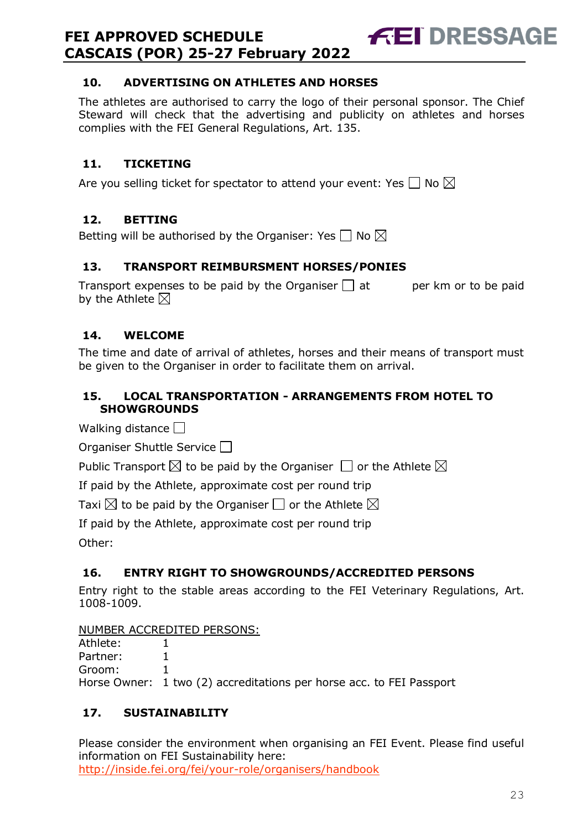### <span id="page-22-0"></span>**10. ADVERTISING ON ATHLETES AND HORSES**

The athletes are authorised to carry the logo of their personal sponsor. The Chief Steward will check that the advertising and publicity on athletes and horses complies with the FEI General Regulations, Art. 135.

**FEI DRESSAGE** 

### <span id="page-22-1"></span>**11. TICKETING**

Are you selling ticket for spectator to attend your event: Yes  $\Box$  No  $\boxtimes$ 

### <span id="page-22-2"></span>**12. BETTING**

Betting will be authorised by the Organiser: Yes  $\Box$  No  $\boxtimes$ 

#### <span id="page-22-3"></span>**13. TRANSPORT REIMBURSMENT HORSES/PONIES**

Transport expenses to be paid by the Organiser  $\Box$  at early per km or to be paid by the Athlete  $\boxtimes$ 

### <span id="page-22-4"></span>**14. WELCOME**

The time and date of arrival of athletes, horses and their means of transport must be given to the Organiser in order to facilitate them on arrival.

### <span id="page-22-5"></span>**15. LOCAL TRANSPORTATION - ARRANGEMENTS FROM HOTEL TO SHOWGROUNDS**

Walking distance  $\Box$ 

Organiser Shuttle Service

Public Transport  $\boxtimes$  to be paid by the Organiser  $\Box$  or the Athlete  $\boxtimes$ 

If paid by the Athlete, approximate cost per round trip

Taxi  $\boxtimes$  to be paid by the Organiser  $\Box$  or the Athlete  $\boxtimes$ 

If paid by the Athlete, approximate cost per round trip

Other:

### <span id="page-22-6"></span>**16. ENTRY RIGHT TO SHOWGROUNDS/ACCREDITED PERSONS**

Entry right to the stable areas according to the FEI Veterinary Regulations, Art. 1008-1009.

NUMBER ACCREDITED PERSONS:

| Athlete: |  |
|----------|--|
| Partner: |  |

Groom: 1

Horse Owner: 1 two (2) accreditations per horse acc. to FEI Passport

### <span id="page-22-7"></span>**17. SUSTAINABILITY**

Please consider the environment when organising an FEI Event. Please find useful information on FEI Sustainability here: <http://inside.fei.org/fei/your-role/organisers/handbook>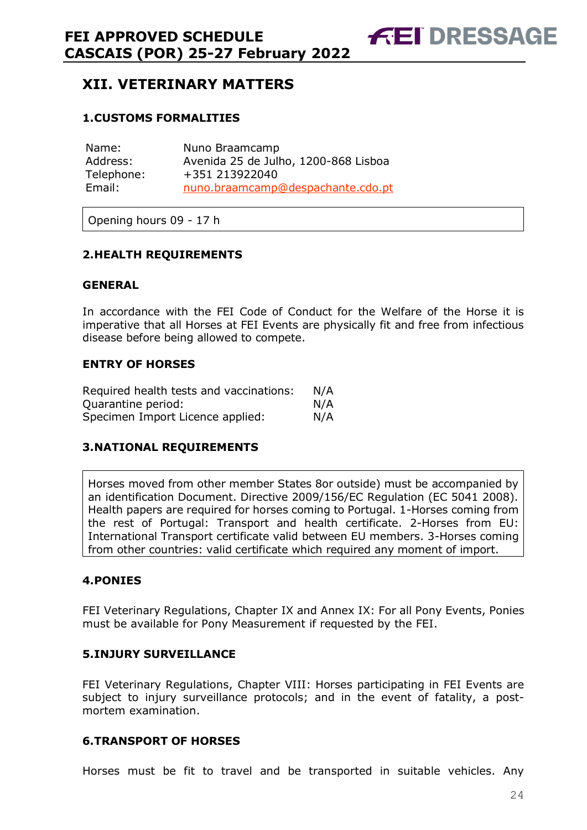# <span id="page-23-0"></span>**XII. VETERINARY MATTERS**

### <span id="page-23-1"></span>**1.CUSTOMS FORMALITIES**

| Name:      | Nuno Braamcamp                       |
|------------|--------------------------------------|
| Address:   | Avenida 25 de Julho, 1200-868 Lisboa |
| Telephone: | +351 213922040                       |
| Email:     | nuno.braamcamp@despachante.cdo.pt    |

Opening hours 09 - 17 h

#### <span id="page-23-2"></span>**2.HEALTH REQUIREMENTS**

#### **GENERAL**

In accordance with the FEI Code of Conduct for the Welfare of the Horse it is imperative that all Horses at FEI Events are physically fit and free from infectious disease before being allowed to compete.

#### **ENTRY OF HORSES**

| Required health tests and vaccinations: | N/A |
|-----------------------------------------|-----|
| Ouarantine period:                      | N/A |
| Specimen Import Licence applied:        | N/A |

#### <span id="page-23-3"></span>**3.NATIONAL REQUIREMENTS**

Horses moved from other member States 8or outside) must be accompanied by an identification Document. Directive 2009/156/EC Regulation (EC 5041 2008). Health papers are required for horses coming to Portugal. 1-Horses coming from the rest of Portugal: Transport and health certificate. 2-Horses from EU: International Transport certificate valid between EU members. 3-Horses coming from other countries: valid certificate which required any moment of import.

#### <span id="page-23-4"></span>**4.PONIES**

FEI Veterinary Regulations, Chapter IX and Annex IX: For all Pony Events, Ponies must be available for Pony Measurement if requested by the FEI.

#### <span id="page-23-5"></span>**5.INJURY SURVEILLANCE**

FEI Veterinary Regulations, Chapter VIII: Horses participating in FEI Events are subject to injury surveillance protocols; and in the event of fatality, a postmortem examination.

#### <span id="page-23-6"></span>**6.TRANSPORT OF HORSES**

Horses must be fit to travel and be transported in suitable vehicles. Any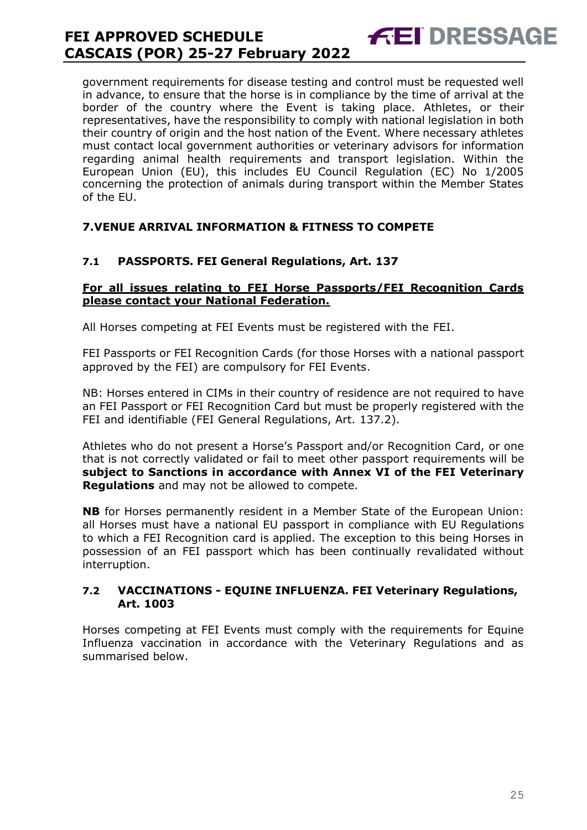government requirements for disease testing and control must be requested well in advance, to ensure that the horse is in compliance by the time of arrival at the border of the country where the Event is taking place. Athletes, or their representatives, have the responsibility to comply with national legislation in both their country of origin and the host nation of the Event. Where necessary athletes must contact local government authorities or veterinary advisors for information regarding animal health requirements and transport legislation. Within the European Union (EU), this includes EU Council Regulation (EC) No 1/2005 concerning the protection of animals during transport within the Member States of the EU.

**FEI DRESSAGE** 

#### <span id="page-24-0"></span>**7.VENUE ARRIVAL INFORMATION & FITNESS TO COMPETE**

#### **7.1 PASSPORTS. FEI General Regulations, Art. 137**

#### **For all issues relating to FEI Horse Passports/FEI Recognition Cards please contact your National Federation.**

All Horses competing at FEI Events must be registered with the FEI.

FEI Passports or FEI Recognition Cards (for those Horses with a national passport approved by the FEI) are compulsory for FEI Events.

NB: Horses entered in CIMs in their country of residence are not required to have an FEI Passport or FEI Recognition Card but must be properly registered with the FEI and identifiable (FEI General Regulations, Art. 137.2).

Athletes who do not present a Horse's Passport and/or Recognition Card, or one that is not correctly validated or fail to meet other passport requirements will be **subject to Sanctions in accordance with Annex VI of the FEI Veterinary Regulations** and may not be allowed to compete.

**NB** for Horses permanently resident in a Member State of the European Union: all Horses must have a national EU passport in compliance with EU Regulations to which a FEI Recognition card is applied. The exception to this being Horses in possession of an FEI passport which has been continually revalidated without interruption.

#### **7.2 VACCINATIONS - EQUINE INFLUENZA. FEI Veterinary Regulations, Art. 1003**

Horses competing at FEI Events must comply with the requirements for Equine Influenza vaccination in accordance with the Veterinary Regulations and as summarised below.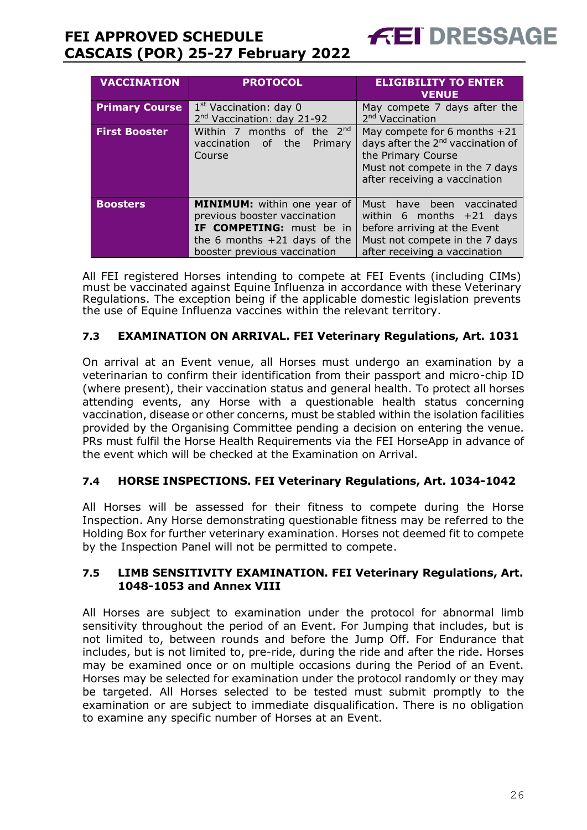| <b>VACCINATION</b>    | <b>PROTOCOL</b>                                                                                                                                                  | <b>ELIGIBILITY TO ENTER</b><br><b>VENUE</b>                                                                                                                              |  |
|-----------------------|------------------------------------------------------------------------------------------------------------------------------------------------------------------|--------------------------------------------------------------------------------------------------------------------------------------------------------------------------|--|
| <b>Primary Course</b> | 1 <sup>st</sup> Vaccination: day 0<br>2 <sup>nd</sup> Vaccination: day 21-92                                                                                     | May compete 7 days after the<br>2 <sup>nd</sup> Vaccination                                                                                                              |  |
| <b>First Booster</b>  | Within 7 months of the 2 <sup>nd</sup><br>vaccination of the<br>Primary<br>Course                                                                                | May compete for 6 months $+21$<br>days after the 2 <sup>nd</sup> vaccination of<br>the Primary Course<br>Must not compete in the 7 days<br>after receiving a vaccination |  |
| <b>Boosters</b>       | <b>MINIMUM:</b> within one year of<br>previous booster vaccination<br>IF COMPETING: must be in<br>the 6 months $+21$ days of the<br>booster previous vaccination | Must<br>have been<br>vaccinated<br>within 6 months $+21$ days<br>before arriving at the Event<br>Must not compete in the 7 days<br>after receiving a vaccination         |  |

**FEI DRESSAGE** 

All FEI registered Horses intending to compete at FEI Events (including CIMs) must be vaccinated against Equine Influenza in accordance with these Veterinary Regulations. The exception being if the applicable domestic legislation prevents the use of Equine Influenza vaccines within the relevant territory.

### **7.3 EXAMINATION ON ARRIVAL. FEI Veterinary Regulations, Art. 1031**

On arrival at an Event venue, all Horses must undergo an examination by a veterinarian to confirm their identification from their passport and micro-chip ID (where present), their vaccination status and general health. To protect all horses attending events, any Horse with a questionable health status concerning vaccination, disease or other concerns, must be stabled within the isolation facilities provided by the Organising Committee pending a decision on entering the venue. PRs must fulfil the Horse Health Requirements via the FEI HorseApp in advance of the event which will be checked at the Examination on Arrival.

### **7.4 HORSE INSPECTIONS. FEI Veterinary Regulations, Art. 1034-1042**

All Horses will be assessed for their fitness to compete during the Horse Inspection. Any Horse demonstrating questionable fitness may be referred to the Holding Box for further veterinary examination. Horses not deemed fit to compete by the Inspection Panel will not be permitted to compete.

#### **7.5 LIMB SENSITIVITY EXAMINATION. FEI Veterinary Regulations, Art. 1048-1053 and Annex VIII**

All Horses are subject to examination under the protocol for abnormal limb sensitivity throughout the period of an Event. For Jumping that includes, but is not limited to, between rounds and before the Jump Off. For Endurance that includes, but is not limited to, pre-ride, during the ride and after the ride. Horses may be examined once or on multiple occasions during the Period of an Event. Horses may be selected for examination under the protocol randomly or they may be targeted. All Horses selected to be tested must submit promptly to the examination or are subject to immediate disqualification. There is no obligation to examine any specific number of Horses at an Event.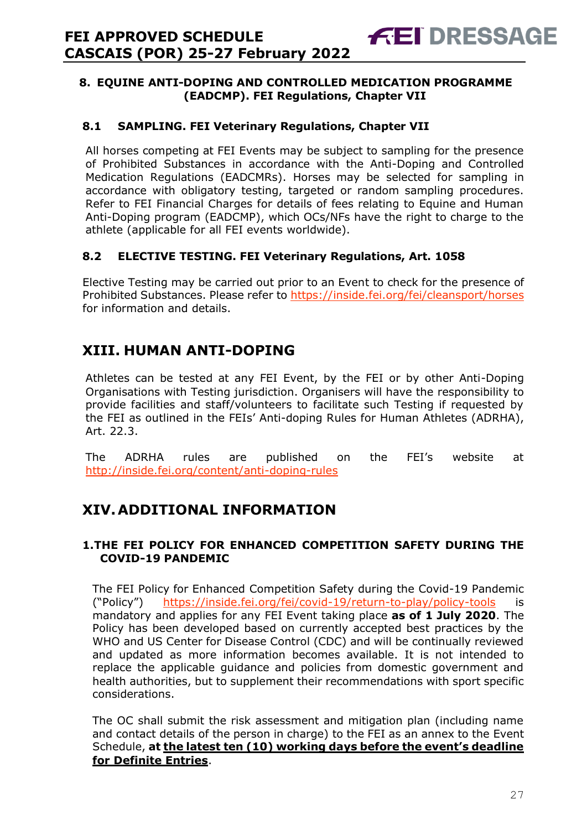#### <span id="page-26-0"></span>**8. EQUINE ANTI-DOPING AND CONTROLLED MEDICATION PROGRAMME (EADCMP). FEI Regulations, Chapter VII**

**FEI DRESSAGE** 

#### **8.1 SAMPLING. FEI Veterinary Regulations, Chapter VII**

All horses competing at FEI Events may be subject to sampling for the presence of Prohibited Substances in accordance with the Anti-Doping and Controlled Medication Regulations (EADCMRs). Horses may be selected for sampling in accordance with obligatory testing, targeted or random sampling procedures. Refer to FEI Financial Charges for details of fees relating to Equine and Human Anti-Doping program (EADCMP), which OCs/NFs have the right to charge to the athlete (applicable for all FEI events worldwide).

### **8.2 ELECTIVE TESTING. FEI Veterinary Regulations, Art. 1058**

Elective Testing may be carried out prior to an Event to check for the presence of Prohibited Substances. Please refer to https://inside.fei.org/fei/cleansport/horses for information and details.

# <span id="page-26-1"></span>**XIII. HUMAN ANTI-DOPING**

Athletes can be tested at any FEI Event, by the FEI or by other Anti-Doping Organisations with Testing jurisdiction. Organisers will have the responsibility to provide facilities and staff/volunteers to facilitate such Testing if requested by the FEI as outlined in the FEIs' Anti-doping Rules for Human Athletes (ADRHA), Art. 22.3.

The ADRHA rules are published on the FEI's website at <http://inside.fei.org/content/anti-doping-rules>

# <span id="page-26-2"></span>**XIV.ADDITIONAL INFORMATION**

#### <span id="page-26-3"></span>**1.THE FEI POLICY FOR ENHANCED COMPETITION SAFETY DURING THE COVID-19 PANDEMIC**

The FEI Policy for Enhanced Competition Safety during the Covid-19 Pandemic ("Policy") <https://inside.fei.org/fei/covid-19/return-to-play/policy-tools> is mandatory and applies for any FEI Event taking place **as of 1 July 2020**. The Policy has been developed based on currently accepted best practices by the WHO and US Center for Disease Control (CDC) and will be continually reviewed and updated as more information becomes available. It is not intended to replace the applicable guidance and policies from domestic government and health authorities, but to supplement their recommendations with sport specific considerations.

The OC shall submit the risk assessment and mitigation plan (including name and contact details of the person in charge) to the FEI as an annex to the Event Schedule, **at the latest ten (10) working days before the event's deadline for Definite Entries**.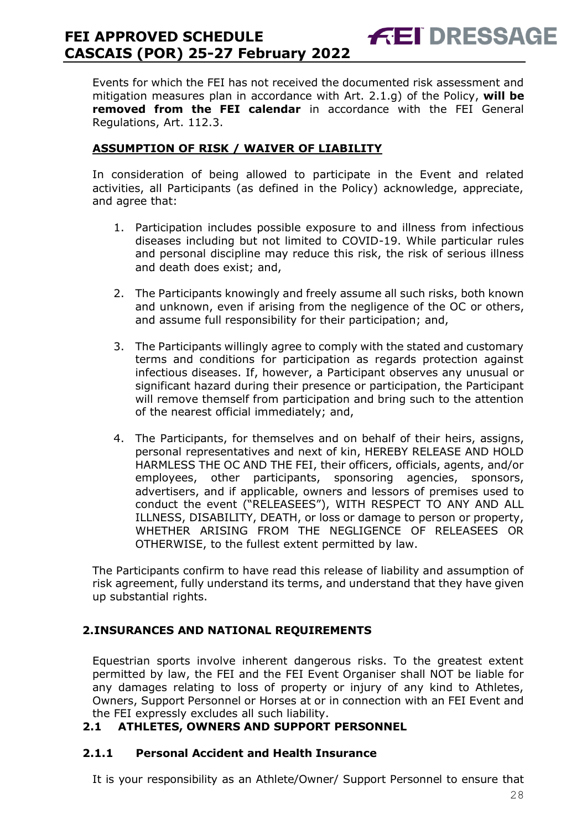Events for which the FEI has not received the documented risk assessment and mitigation measures plan in accordance with Art. 2.1.g) of the Policy, **will be removed from the FEI calendar** in accordance with the FEI General Regulations, Art. 112.3.

**FEI DRESSAGE** 

### **ASSUMPTION OF RISK / WAIVER OF LIABILITY**

In consideration of being allowed to participate in the Event and related activities, all Participants (as defined in the Policy) acknowledge, appreciate, and agree that:

- 1. Participation includes possible exposure to and illness from infectious diseases including but not limited to COVID-19. While particular rules and personal discipline may reduce this risk, the risk of serious illness and death does exist; and,
- 2. The Participants knowingly and freely assume all such risks, both known and unknown, even if arising from the negligence of the OC or others, and assume full responsibility for their participation; and,
- 3. The Participants willingly agree to comply with the stated and customary terms and conditions for participation as regards protection against infectious diseases. If, however, a Participant observes any unusual or significant hazard during their presence or participation, the Participant will remove themself from participation and bring such to the attention of the nearest official immediately; and,
- 4. The Participants, for themselves and on behalf of their heirs, assigns, personal representatives and next of kin, HEREBY RELEASE AND HOLD HARMLESS THE OC AND THE FEI, their officers, officials, agents, and/or employees, other participants, sponsoring agencies, sponsors, advertisers, and if applicable, owners and lessors of premises used to conduct the event ("RELEASEES"), WITH RESPECT TO ANY AND ALL ILLNESS, DISABILITY, DEATH, or loss or damage to person or property, WHETHER ARISING FROM THE NEGLIGENCE OF RELEASEES OR OTHERWISE, to the fullest extent permitted by law.

The Participants confirm to have read this release of liability and assumption of risk agreement, fully understand its terms, and understand that they have given up substantial rights.

### <span id="page-27-0"></span>**2.INSURANCES AND NATIONAL REQUIREMENTS**

Equestrian sports involve inherent dangerous risks. To the greatest extent permitted by law, the FEI and the FEI Event Organiser shall NOT be liable for any damages relating to loss of property or injury of any kind to Athletes, Owners, Support Personnel or Horses at or in connection with an FEI Event and the FEI expressly excludes all such liability.

### **2.1 ATHLETES, OWNERS AND SUPPORT PERSONNEL**

#### **2.1.1 Personal Accident and Health Insurance**

It is your responsibility as an Athlete/Owner/ Support Personnel to ensure that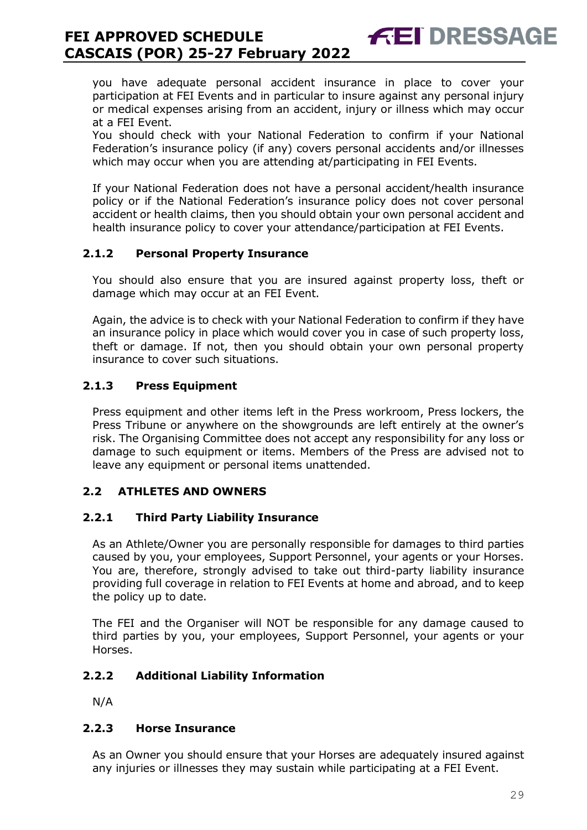you have adequate personal accident insurance in place to cover your participation at FEI Events and in particular to insure against any personal injury or medical expenses arising from an accident, injury or illness which may occur at a FEI Event.

**FEI DRESSAGE** 

You should check with your National Federation to confirm if your National Federation's insurance policy (if any) covers personal accidents and/or illnesses which may occur when you are attending at/participating in FEI Events.

If your National Federation does not have a personal accident/health insurance policy or if the National Federation's insurance policy does not cover personal accident or health claims, then you should obtain your own personal accident and health insurance policy to cover your attendance/participation at FEI Events.

### **2.1.2 Personal Property Insurance**

You should also ensure that you are insured against property loss, theft or damage which may occur at an FEI Event.

Again, the advice is to check with your National Federation to confirm if they have an insurance policy in place which would cover you in case of such property loss, theft or damage. If not, then you should obtain your own personal property insurance to cover such situations.

#### **2.1.3 Press Equipment**

Press equipment and other items left in the Press workroom, Press lockers, the Press Tribune or anywhere on the showgrounds are left entirely at the owner's risk. The Organising Committee does not accept any responsibility for any loss or damage to such equipment or items. Members of the Press are advised not to leave any equipment or personal items unattended.

#### **2.2 ATHLETES AND OWNERS**

#### **2.2.1 Third Party Liability Insurance**

As an Athlete/Owner you are personally responsible for damages to third parties caused by you, your employees, Support Personnel, your agents or your Horses. You are, therefore, strongly advised to take out third-party liability insurance providing full coverage in relation to FEI Events at home and abroad, and to keep the policy up to date.

The FEI and the Organiser will NOT be responsible for any damage caused to third parties by you, your employees, Support Personnel, your agents or your Horses.

#### **2.2.2 Additional Liability Information**

N/A

#### **2.2.3 Horse Insurance**

As an Owner you should ensure that your Horses are adequately insured against any injuries or illnesses they may sustain while participating at a FEI Event.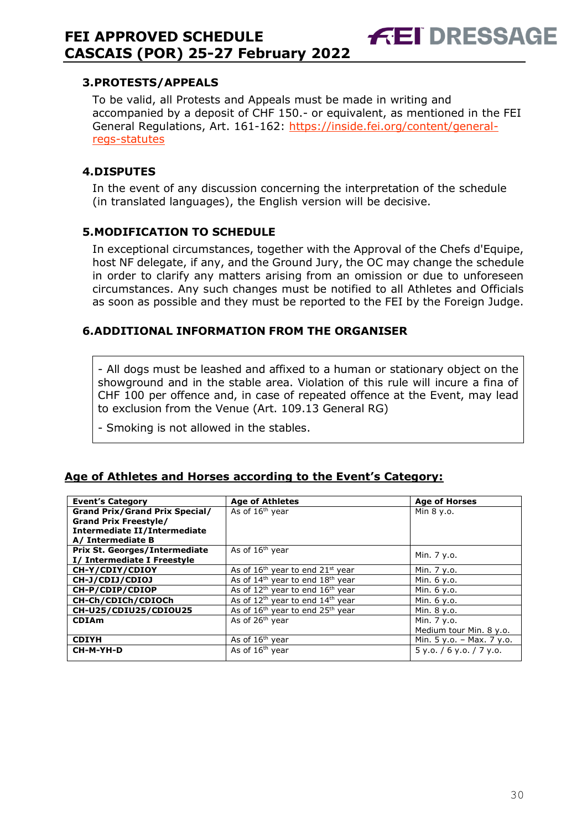#### <span id="page-29-0"></span>**3.PROTESTS/APPEALS**

To be valid, all Protests and Appeals must be made in writing and accompanied by a deposit of CHF 150.- or equivalent, as mentioned in the FEI General Regulations, Art. 161-162: [https://inside.fei.org/content/general](https://inside.fei.org/content/general-regs-statutes)[regs-statutes](https://inside.fei.org/content/general-regs-statutes)

**FEI DRESSAGE** 

#### <span id="page-29-1"></span>**4.DISPUTES**

In the event of any discussion concerning the interpretation of the schedule (in translated languages), the English version will be decisive.

#### <span id="page-29-2"></span>**5.MODIFICATION TO SCHEDULE**

In exceptional circumstances, together with the Approval of the Chefs d'Equipe, host NF delegate, if any, and the Ground Jury, the OC may change the schedule in order to clarify any matters arising from an omission or due to unforeseen circumstances. Any such changes must be notified to all Athletes and Officials as soon as possible and they must be reported to the FEI by the Foreign Judge.

### <span id="page-29-3"></span>**6.ADDITIONAL INFORMATION FROM THE ORGANISER**

- All dogs must be leashed and affixed to a human or stationary object on the showground and in the stable area. Violation of this rule will incure a fina of CHF 100 per offence and, in case of repeated offence at the Event, may lead to exclusion from the Venue (Art. 109.13 General RG)

- Smoking is not allowed in the stables.

#### **Age of Athletes and Horses according to the Event's Category:**

| <b>Event's Category</b>               | <b>Age of Athletes</b>                                   | <b>Age of Horses</b>      |
|---------------------------------------|----------------------------------------------------------|---------------------------|
| <b>Grand Prix/Grand Prix Special/</b> | As of 16 <sup>th</sup> year                              | Min 8 y.o.                |
| <b>Grand Prix Freestyle/</b>          |                                                          |                           |
| Intermediate II/Intermediate          |                                                          |                           |
| A/ Intermediate B                     |                                                          |                           |
| <b>Prix St. Georges/Intermediate</b>  | As of 16 <sup>th</sup> year                              | Min. 7 y.o.               |
| I/ Intermediate I Freestyle           |                                                          |                           |
| CH-Y/CDIY/CDIOY                       | As of $16th$ year to end $21st$ year                     | Min. 7 y.o.               |
| CH-J/CDIJ/CDIOJ                       | As of $14th$ year to end $18th$ year                     | Min. 6 y.o.               |
| CH-P/CDIP/CDIOP                       | As of $12^{th}$ year to end $16^{th}$ year               | Min. 6 y.o.               |
| CH-Ch/CDICh/CDIOCh                    | As of $12^{th}$ year to end $14^{th}$ year               | Min. 6 y.o.               |
| CH-U25/CDIU25/CDIOU25                 | As of 16 <sup>th</sup> year to end 25 <sup>th</sup> year | Min. 8 y.o.               |
| <b>CDIAm</b>                          | As of 26 <sup>th</sup> year                              | Min. 7 y.o.               |
|                                       |                                                          | Medium tour Min. 8 y.o.   |
| <b>CDIYH</b>                          | As of $16th$ year                                        | Min. 5 y.o. - Max. 7 y.o. |
| CH-M-YH-D                             | As of $16th$ year                                        | 5y.0. / 6y.0. / 7y.0.     |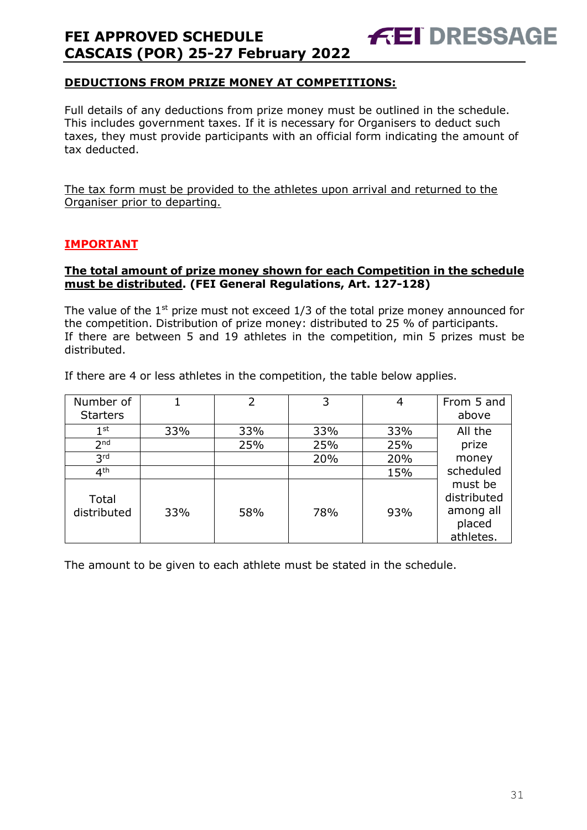### **DEDUCTIONS FROM PRIZE MONEY AT COMPETITIONS:**

Full details of any deductions from prize money must be outlined in the schedule. This includes government taxes. If it is necessary for Organisers to deduct such taxes, they must provide participants with an official form indicating the amount of tax deducted.

**FEI DRESSAGE** 

The tax form must be provided to the athletes upon arrival and returned to the Organiser prior to departing.

### **IMPORTANT**

#### **The total amount of prize money shown for each Competition in the schedule must be distributed. (FEI General Regulations, Art. 127-128)**

The value of the  $1<sup>st</sup>$  prize must not exceed  $1/3$  of the total prize money announced for the competition. Distribution of prize money: distributed to 25 % of participants. If there are between 5 and 19 athletes in the competition, min 5 prizes must be distributed.

If there are 4 or less athletes in the competition, the table below applies.

| Number of            |     | 2   | 3   | 4   | From 5 and                                                 |
|----------------------|-----|-----|-----|-----|------------------------------------------------------------|
| <b>Starters</b>      |     |     |     |     | above                                                      |
| $1^{\rm st}$         | 33% | 33% | 33% | 33% | All the                                                    |
| 2 <sub>nd</sub>      |     | 25% | 25% | 25% | prize                                                      |
| 3 <sup>rd</sup>      |     |     | 20% | 20% | money                                                      |
| 4 <sup>th</sup>      |     |     |     | 15% | scheduled                                                  |
| Total<br>distributed | 33% | 58% | 78% | 93% | must be<br>distributed<br>among all<br>placed<br>athletes. |

The amount to be given to each athlete must be stated in the schedule.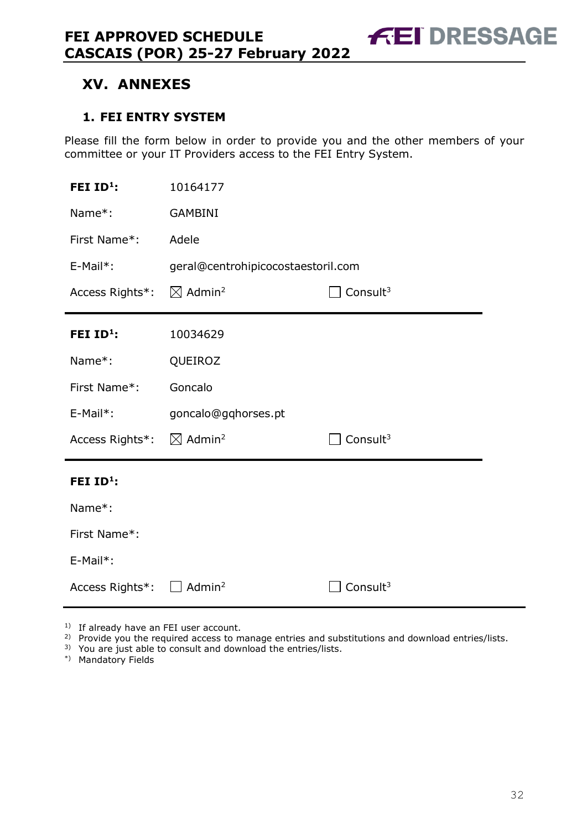# <span id="page-31-0"></span>**XV. ANNEXES**

### <span id="page-31-1"></span>**1. FEI ENTRY SYSTEM**

Please fill the form below in order to provide you and the other members of your committee or your IT Providers access to the FEI Entry System.

| FEI $ID^1$ :    | 10164177                           |                      |  |
|-----------------|------------------------------------|----------------------|--|
| Name*:          | <b>GAMBINI</b>                     |                      |  |
| First Name*:    | Adele                              |                      |  |
| E-Mail*:        | geral@centrohipicocostaestoril.com |                      |  |
| Access Rights*: | $\boxtimes$ Admin <sup>2</sup>     | Consult $3$          |  |
| FEI $ID^1$ :    | 10034629                           |                      |  |
| Name*:          | QUEIROZ                            |                      |  |
| First Name*:    | Goncalo                            |                      |  |
| $E-Mail*$ :     | goncalo@gqhorses.pt                |                      |  |
| Access Rights*: | $\boxtimes$ Admin <sup>2</sup>     | Consult <sup>3</sup> |  |
| FEI $ID^1$ :    |                                    |                      |  |
| Name*:          |                                    |                      |  |
| First Name*:    |                                    |                      |  |
| E-Mail*:        |                                    |                      |  |
| Access Rights*: | Admin <sup>2</sup>                 | Consult <sup>3</sup> |  |

<sup>1)</sup> If already have an FEI user account.

<sup>2)</sup> Provide you the required access to manage entries and substitutions and download entries/lists.

3) You are just able to consult and download the entries/lists.

\*) Mandatory Fields